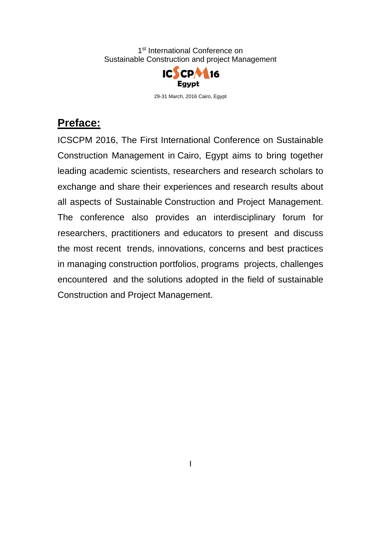

29-31 March, 2016 Cairo, Egypt

## **Preface:**

ICSCPM 2016, The First International Conference on Sustainable Construction Management in Cairo, Egypt aims to bring together leading academic scientists, researchers and research scholars to exchange and share their experiences and research results about all aspects of Sustainable Construction and Project Management. The conference also provides an interdisciplinary forum for researchers, practitioners and educators to present and discuss the most recent trends, innovations, concerns and best practices in managing construction portfolios, programs projects, challenges encountered and the solutions adopted in the field of sustainable Construction and Project Management.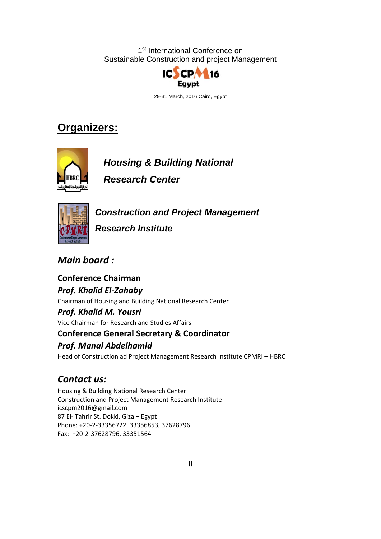

29-31 March, 2016 Cairo, Egypt

# **Organizers:**



*Housing & Building National* 

*Research Center* 



*Construction and Project Management* 

*Research Institute* 

*Main board :*

**Conference Chairman**  *Prof. Khalid El‐Zahaby* Chairman of Housing and Building National Research Center *Prof. Khalid M. Yousri* Vice Chairman for Research and Studies Affairs **Conference General Secretary & Coordinator** *Prof. Manal Abdelhamid*

Head of Construction ad Project Management Research Institute CPMRI – HBRC

## *Contact us:*

Housing & Building National Research Center Construction and Project Management Research Institute icscpm2016@gmail.com 87 El‐ Tahrir St. Dokki, Giza – Egypt Phone: +20‐2‐33356722, 33356853, 37628796 Fax: +20‐2‐37628796, 33351564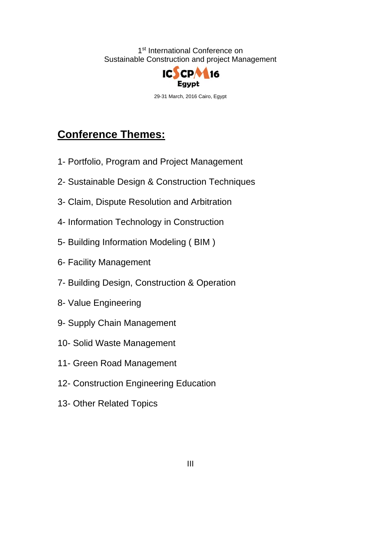

29-31 March, 2016 Cairo, Egypt

# **Conference Themes:**

- 1- Portfolio, Program and Project Management
- 2- Sustainable Design & Construction Techniques
- 3- Claim, Dispute Resolution and Arbitration
- 4- Information Technology in Construction
- 5- Building Information Modeling ( BIM )
- 6- Facility Management
- 7- Building Design, Construction & Operation
- 8- Value Engineering
- 9- Supply Chain Management
- 10- Solid Waste Management
- 11- Green Road Management
- 12- Construction Engineering Education
- 13- Other Related Topics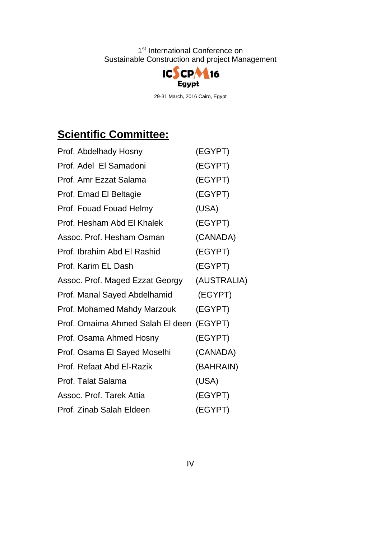

29-31 March, 2016 Cairo, Egypt

# **Scientific Committee:**

| Prof. Abdelhady Hosny            | (EGYPT)     |
|----------------------------------|-------------|
| Prof. Adel El Samadoni           | (EGYPT)     |
| Prof. Amr Ezzat Salama           | (EGYPT)     |
| Prof. Emad El Beltagie           | (EGYPT)     |
| Prof. Fouad Fouad Helmy          | (USA)       |
| Prof. Hesham Abd El Khalek       | (EGYPT)     |
| Assoc. Prof. Hesham Osman        | (CANADA)    |
| Prof. Ibrahim Abd El Rashid      | (EGYPT)     |
| Prof. Karim EL Dash              | (EGYPT)     |
| Assoc. Prof. Maged Ezzat Georgy  | (AUSTRALIA) |
| Prof. Manal Sayed Abdelhamid     | (EGYPT)     |
| Prof. Mohamed Mahdy Marzouk      | (EGYPT)     |
| Prof. Omaima Ahmed Salah El deen | (EGYPT)     |
| Prof. Osama Ahmed Hosny          | (EGYPT)     |
| Prof. Osama El Sayed Moselhi     | (CANADA)    |
| Prof. Refaat Abd El-Razik        | (BAHRAIN)   |
| Prof. Talat Salama               | (USA)       |
| Assoc. Prof. Tarek Attia         | (EGYPT)     |
| Prof. Zinab Salah Eldeen         | (EGYPT)     |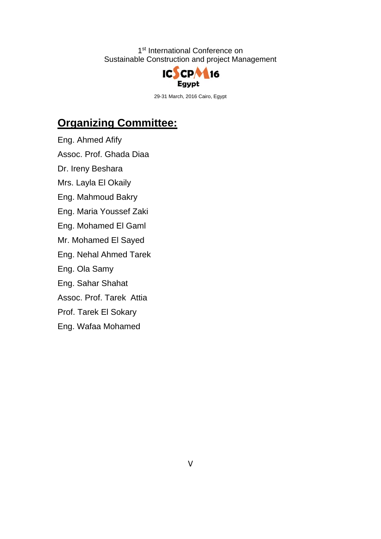

29-31 March, 2016 Cairo, Egypt

# **Organizing Committee:**

Eng. Ahmed Afify

Assoc. Prof. Ghada Diaa

Dr. Ireny Beshara

Mrs. Layla El Okaily

Eng. Mahmoud Bakry

Eng. Maria Youssef Zaki

Eng. Mohamed El Gaml

Mr. Mohamed El Sayed

Eng. Nehal Ahmed Tarek

Eng. Ola Samy

Eng. Sahar Shahat

Assoc. Prof. Tarek Attia

Prof. Tarek El Sokary

Eng. Wafaa Mohamed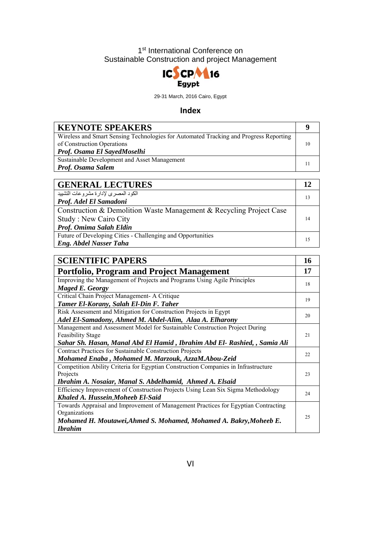

29-31 March, 2016 Cairo, Egypt

#### **Index**

| <b>KEYNOTE SPEAKERS</b>                                                                                             |    |
|---------------------------------------------------------------------------------------------------------------------|----|
| Wireless and Smart Sensing Technologies for Automated Tracking and Progress Reporting<br>of Construction Operations | 10 |
| Prof. Osama El SayedMoselhi                                                                                         |    |
| Sustainable Development and Asset Management                                                                        |    |
| Prof. Osama Salem                                                                                                   |    |

| <b>GENERAL LECTURES</b>                                             |    |
|---------------------------------------------------------------------|----|
| الكود المصرى لإدارة مشروعات التشييد                                 | 13 |
| Prof. Adel El Samadoni                                              |    |
| Construction & Demolition Waste Management & Recycling Project Case |    |
| <b>Study: New Cairo City</b>                                        | 14 |
| Prof. Omima Salah Eldin                                             |    |
| Future of Developing Cities - Challenging and Opportunities         | 15 |
| <b>Eng. Abdel Nasser Taha</b>                                       |    |

| <b>SCIENTIFIC PAPERS</b>                                                           | 16  |
|------------------------------------------------------------------------------------|-----|
| <b>Portfolio, Program and Project Management</b>                                   | 17  |
| Improving the Management of Projects and Programs Using Agile Principles           |     |
| Maged E. Georgy                                                                    | 18  |
| Critical Chain Project Management- A Critique                                      | 19  |
| Tamer El-Korany, Salah El-Din F. Taher                                             |     |
| Risk Assessment and Mitigation for Construction Projects in Egypt                  |     |
| Adel El-Samadony, Ahmed M. Abdel-Alim, Alaa A. Elharony                            | 20  |
| Management and Assessment Model for Sustainable Construction Project During        |     |
| <b>Feasibility Stage</b>                                                           | 2.1 |
| Sahar Sh. Hasan, Manal Abd El Hamid, Ibrahim Abd El- Rashied, , Samia Ali          |     |
| <b>Contract Practices for Sustainable Construction Projects</b>                    | 22  |
| Mohamed Enaba, Mohamed M. Marzouk, AzzaM.Abou-Zeid                                 |     |
| Competition Ability Criteria for Egyptian Construction Companies in Infrastructure |     |
| Projects                                                                           |     |
| Ibrahim A. Nosaiar, Manal S. Abdelhamid, Ahmed A. Elsaid                           |     |
| Efficiency Improvement of Construction Projects Using Lean Six Sigma Methodology   | 24  |
| Khaled A. Hussein, Moheeb El-Said                                                  |     |
| Towards Appraisal and Improvement of Management Practices for Egyptian Contracting |     |
| Organizations                                                                      | 25  |
| Mohamed H. Moutawei, Ahmed S. Mohamed, Mohamed A. Bakry, Moheeb E.                 |     |
| <b>Ibrahim</b>                                                                     |     |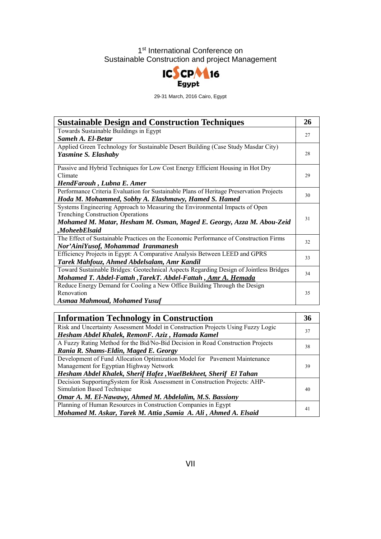

29-31 March, 2016 Cairo, Egypt

| <b>Sustainable Design and Construction Techniques</b>                                   | 26 |
|-----------------------------------------------------------------------------------------|----|
| Towards Sustainable Buildings in Egypt                                                  | 27 |
| Sameh A. El-Betar                                                                       |    |
| Applied Green Technology for Sustainable Desert Building (Case Study Masdar City)       |    |
| Yasmine S. Elashaby                                                                     | 28 |
| Passive and Hybrid Techniques for Low Cost Energy Efficient Housing in Hot Dry          |    |
| Climate                                                                                 | 29 |
| HendFarouh, Lubna E. Amer                                                               |    |
| Performance Criteria Evaluation for Sustainable Plans of Heritage Preservation Projects | 30 |
| Hoda M. Mohammed, Sobhy A. Elashmawy, Hamed S. Hamed                                    |    |
| Systems Engineering Approach to Measuring the Environmental Impacts of Open             |    |
| <b>Trenching Construction Operations</b>                                                |    |
| Mohamed M. Matar, Hesham M. Osman, Maged E. Georgy, Azza M. Abou-Zeid                   | 31 |
| <i>MoheebElsaid</i>                                                                     |    |
| The Effect of Sustainable Practices on the Economic Performance of Construction Firms   | 32 |
| Nor'AiniYusof, Mohammad Iranmanesh                                                      |    |
| Efficiency Projects in Egypt: A Comparative Analysis Between LEED and GPRS              | 33 |
| Tarek Mahfouz, Ahmed Abdelsalam, Amr Kandil                                             |    |
| Toward Sustainable Bridges: Geotechnical Aspects Regarding Design of Jointless Bridges  | 34 |
| Mohamed T. Abdel-Fattah , TarekT. Abdel-Fattah , Amr A. Hemada                          |    |
| Reduce Energy Demand for Cooling a New Office Building Through the Design               |    |
| Renovation                                                                              | 35 |
| <b>Asmaa Mahmoud, Mohamed Yusuf</b>                                                     |    |

| <b>Information Technology in Construction</b>                                    | 36 |
|----------------------------------------------------------------------------------|----|
| Risk and Uncertainty Assessment Model in Construction Projects Using Fuzzy Logic |    |
| Hesham Abdel Khalek, RemonF. Aziz, Hamada Kamel                                  | 37 |
| A Fuzzy Rating Method for the Bid/No-Bid Decision in Road Construction Projects  | 38 |
| Rania R. Shams-Eldin, Maged E. Georgy                                            |    |
| Development of Fund Allocation Optimization Model for Pavement Maintenance       |    |
| Management for Egyptian Highway Network                                          | 39 |
| Hesham Abdel Khalek, Sherif Hafez, WaelBekheet, Sherif El Tahan                  |    |
| Decision SupportingSystem for Risk Assessment in Construction Projects: AHP-     |    |
| Simulation Based Technique                                                       | 40 |
| Omar A. M. El-Nawawy, Ahmed M. Abdelalim, M.S. Bassiony                          |    |
| Planning of Human Resources in Construction Companies in Egypt                   |    |
| Mohamed M. Askar, Tarek M. Attia , Samia A. Ali, Ahmed A. Elsaid                 | 41 |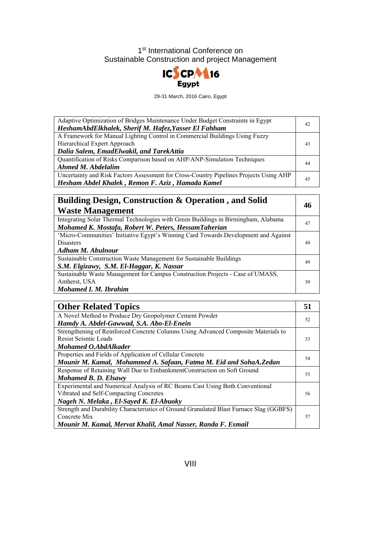

29-31 March, 2016 Cairo, Egypt

| Adaptive Optimization of Bridges Maintenance Under Budget Constraints in Egypt<br>HeshamAbdElkhalek, Sherif M. Hafez, Yasser El Fahham                  | 42 |
|---------------------------------------------------------------------------------------------------------------------------------------------------------|----|
| A Framework for Manual Lighting Control in Commercial Buildings Using Fuzzy<br>Hierarchical Expert Approach<br>Dalia Salem, EmadElwakil, and TarekAttia | 43 |
| Quantification of Risks Comparison based on AHP/ANP-Simulation Techniques<br>Ahmed M. Abdelalim                                                         | 44 |
| Uncertainty and Risk Factors Assessment for Cross-Country Pipelines Projects Using AHP<br>Hesham Abdel Khalek, Remon F. Aziz, Hamada Kamel              | 45 |

| <b>Building Design, Construction &amp; Operation, and Solid</b>                     | 46 |
|-------------------------------------------------------------------------------------|----|
| <b>Waste Management</b>                                                             |    |
| Integrating Solar Thermal Technologies with Green Buildings in Birmingham, Alabama  | 47 |
| Mohamed K. Mostafa, Robert W. Peters, HessamTaherian                                |    |
| 'Micro-Communities' Initiative Egypt's Winning Card Towards Development and Against |    |
| <b>Disasters</b>                                                                    | 48 |
| Adham M. Abulnour                                                                   |    |
| Sustainable Construction Waste Management for Sustainable Buildings                 | 49 |
| S.M. Elgizawy, S.M. El-Haggar, K. Nassar                                            |    |
| Sustainable Waste Management for Campus Construction Projects - Case of UMASS,      |    |
| Amherst, USA                                                                        | 50 |
| Mohamed I. M. Ibrahim                                                               |    |

| <b>Other Related Topics</b>                                                             | 51 |
|-----------------------------------------------------------------------------------------|----|
| A Novel Method to Produce Dry Geopolymer Cement Powder                                  | 52 |
| Hamdy A. Abdel-Gawwad, S.A. Abo-El-Enein                                                |    |
| Strengthening of Reinforced Concrete Columns Using Advanced Composite Materials to      |    |
| Resist Seismic Loads                                                                    | 53 |
| Mohamed O.AbdAlkader                                                                    |    |
| Properties and Fields of Application of Cellular Concrete                               | 54 |
| Mounir M. Kamal, Mohammed A. Safaan, Fatma M. Eid and SohaA. Zedan                      |    |
| Response of Retaining Wall Due to EmbankmentConstruction on Soft Ground                 | 55 |
| Mohamed B. D. Elsawy                                                                    |    |
| Experimental and Numerical Analysis of RC Beams Cast Using Both Conventional            |    |
| Vibrated and Self-Compacting Concretes                                                  | 56 |
| Nageh N. Melaka, El-Sayed K. El-Abuoky                                                  |    |
| Strength and Durability Characteristics of Ground Granulated Blast Furnace Slag (GGBFS) |    |
| Concrete Mix                                                                            | 57 |
| Mounir M. Kamal, Mervat Khalil, Amal Nasser, Randa F. Esmail                            |    |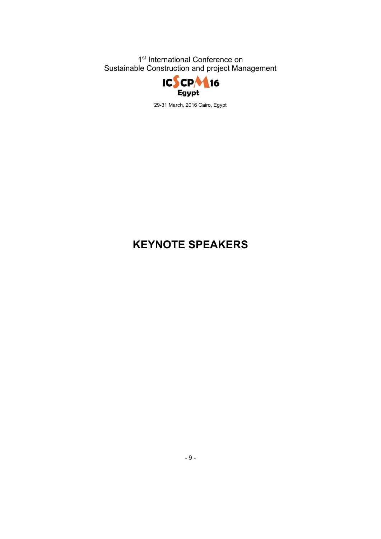

29-31 March, 2016 Cairo, Egypt

# **KEYNOTE SPEAKERS**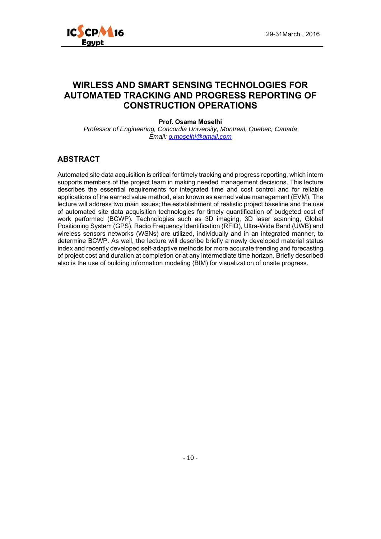

### **WIRLESS AND SMART SENSING TECHNOLOGIES FOR AUTOMATED TRACKING AND PROGRESS REPORTING OF CONSTRUCTION OPERATIONS**

#### **Prof. Osama Moselhi**

*Professor of Engineering, Concordia University, Montreal, Quebec, Canada Email: o.moselhi@gmail.com*

#### **ABSTRACT**

Automated site data acquisition is critical for timely tracking and progress reporting, which intern supports members of the project team in making needed management decisions. This lecture describes the essential requirements for integrated time and cost control and for reliable applications of the earned value method, also known as earned value management (EVM). The lecture will address two main issues; the establishment of realistic project baseline and the use of automated site data acquisition technologies for timely quantification of budgeted cost of work performed (BCWP). Technologies such as 3D imaging, 3D laser scanning, Global Positioning System (GPS), Radio Frequency Identification (RFID), Ultra-Wide Band (UWB) and wireless sensors networks (WSNs) are utilized, individually and in an integrated manner, to determine BCWP. As well, the lecture will describe briefly a newly developed material status index and recently developed self-adaptive methods for more accurate trending and forecasting of project cost and duration at completion or at any intermediate time horizon. Briefly described also is the use of building information modeling (BIM) for visualization of onsite progress.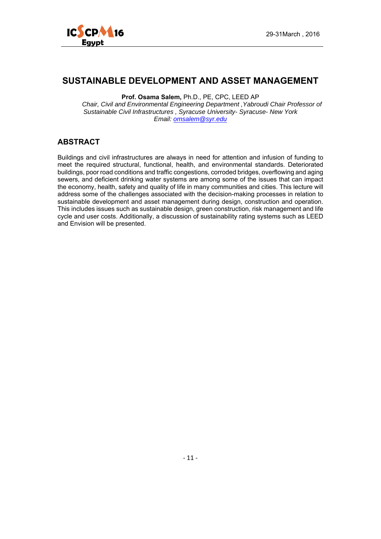

## **SUSTAINABLE DEVELOPMENT AND ASSET MANAGEMENT**

**Prof. Osama Salem,** Ph.D., PE, CPC, LEED AP

*Chair, Civil and Environmental Engineering Department ,Yabroudi Chair Professor of Sustainable Civil Infrastructures , Syracuse University- Syracuse- New York Email: omsalem@syr.edu*

#### **ABSTRACT**

Buildings and civil infrastructures are always in need for attention and infusion of funding to meet the required structural, functional, health, and environmental standards. Deteriorated buildings, poor road conditions and traffic congestions, corroded bridges, overflowing and aging sewers, and deficient drinking water systems are among some of the issues that can impact the economy, health, safety and quality of life in many communities and cities. This lecture will address some of the challenges associated with the decision-making processes in relation to sustainable development and asset management during design, construction and operation. This includes issues such as sustainable design, green construction, risk management and life cycle and user costs. Additionally, a discussion of sustainability rating systems such as LEED and Envision will be presented.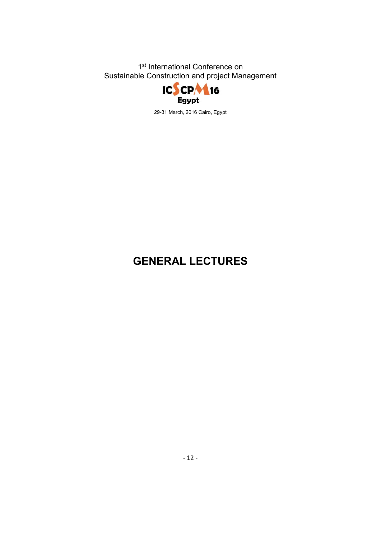

29-31 March, 2016 Cairo, Egypt

# **GENERAL LECTURES**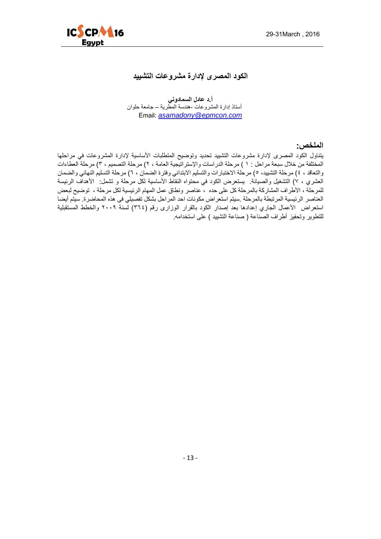

#### **الكود المصرى إلدارة مشروعات التشييد**

**أ.د عادل السمادوني** أستاذ إدارة المشروعات -ھندسة المطرية – جامعة حلوان Email: *asamadony@epmcon.com*

**الملخص:** 

يتناول الكود المصرى لإدارة مشروعات التشييد تحديد وتوضيح المتطلبات الأساسية لإدارة المشروعات في مراحلها المختلفة من خالل سبعة مراحل : ١ ) مرحلة الدراسات واإلستراتيجية العامة ، ٢) مرحلة التصميم ، ٣) مرحلة العطاءات والتعاقد ، ٤) مرحلة التشييد، ٥) مرحلة الاختبارات والتسليم الابتدائي وفترة الضمان ، ٦) مرحلة التسليم النهائي والضمان العشري ، ٧) التشغيل والصيانة. يستعرض الكود في محتواه النقاط الأساسية لكل مرحلة و تشمل: الأهداف الرئيسة للمرحلة ، األطراف المشاركة بالمرحلة كل على حده ، عناصر ونطاق عمل المھام الرئيسية لكل مرحلة ، توضيح لبعض العناصر الرئيسية المرتبطة بالمرحلة .سيتم استعراض مكونات احد المراحل بشكل تفصيلي فى ھذه المحاضرة. سيتم أيضا استعراض الأعمال الجاري إعدادها بعد إصدار الكود بالقرار الوزارى رقم (٣٦٤) لسنة ٢٠٠٩ والخطط المستقبلية للتطوير وتحفيز أطراف الصناعة ( صناعة التشييد ) على استخدامه.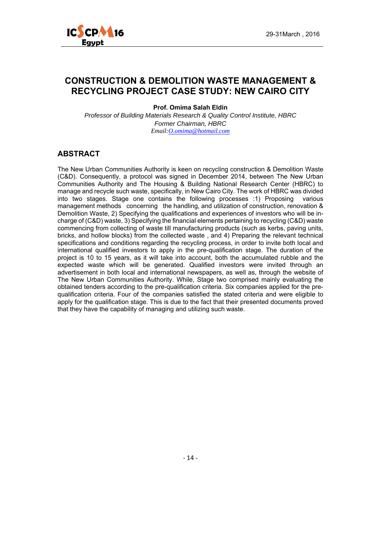

## **CONSTRUCTION & DEMOLITION WASTE MANAGEMENT & RECYCLING PROJECT CASE STUDY: NEW CAIRO CITY**

**Prof. Omima Salah Eldin** 

*Professor of Building Materials Research & Quality Control Institute, HBRC Former Chairman, HBRC Email:O.omima@hotmail.com*

#### **ABSTRACT**

The New Urban Communities Authority is keen on recycling construction & Demolition Waste (C&D). Consequently, a protocol was signed in December 2014, between The New Urban Communities Authority and The Housing & Building National Research Center (HBRC) to manage and recycle such waste, specifically, in New Cairo City. The work of HBRC was divided into two stages. Stage one contains the following processes :1) Proposing various management methods concerning the handling, and utilization of construction, renovation & Demolition Waste, 2) Specifying the qualifications and experiences of investors who will be incharge of (C&D) waste, 3) Specifying the financial elements pertaining to recycling (C&D) waste commencing from collecting of waste till manufacturing products (such as kerbs, paving units, bricks, and hollow blocks) from the collected waste , and 4) Preparing the relevant technical specifications and conditions regarding the recycling process, in order to invite both local and international qualified investors to apply in the pre-qualification stage. The duration of the project is 10 to 15 years, as it will take into account, both the accumulated rubble and the expected waste which will be generated. Qualified investors were invited through an advertisement in both local and international newspapers, as well as, through the website of The New Urban Communities Authority. While, Stage two comprised mainly evaluating the obtained tenders according to the pre-qualification criteria. Six companies applied for the prequalification criteria. Four of the companies satisfied the stated criteria and were eligible to apply for the qualification stage. This is due to the fact that their presented documents proved that they have the capability of managing and utilizing such waste.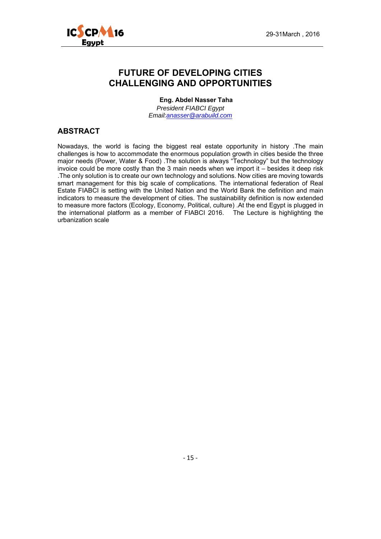

## **FUTURE OF DEVELOPING CITIES CHALLENGING AND OPPORTUNITIES**

**Eng. Abdel Nasser Taha** 

*President FIABCI Egypt Email:anasser@arabuild.com* 

#### **ABSTRACT**

Nowadays, the world is facing the biggest real estate opportunity in history .The main challenges is how to accommodate the enormous population growth in cities beside the three major needs (Power, Water & Food) .The solution is always "Technology" but the technology invoice could be more costly than the 3 main needs when we import it – besides it deep risk .The only solution is to create our own technology and solutions. Now cities are moving towards smart management for this big scale of complications. The international federation of Real Estate FIABCI is setting with the United Nation and the World Bank the definition and main indicators to measure the development of cities. The sustainability definition is now extended to measure more factors (Ecology, Economy, Political, culture) .At the end Egypt is plugged in the international platform as a member of FIABCI 2016. The Lecture is highlighting the urbanization scale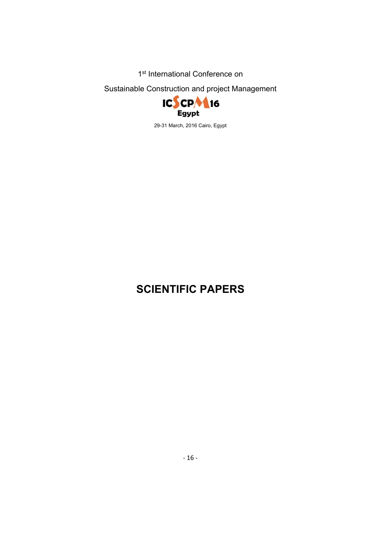1<sup>st</sup> International Conference on

Sustainable Construction and project Management



29-31 March, 2016 Cairo, Egypt

# **SCIENTIFIC PAPERS**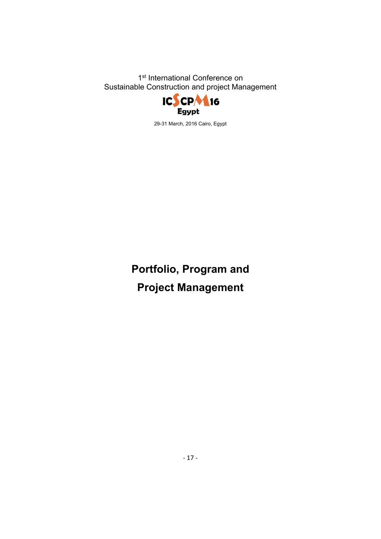

29-31 March, 2016 Cairo, Egypt

**Portfolio, Program and Project Management**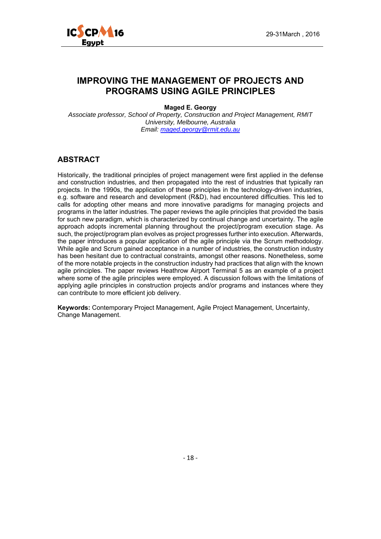

## **IMPROVING THE MANAGEMENT OF PROJECTS AND PROGRAMS USING AGILE PRINCIPLES**

#### **Maged E. Georgy**

*Associate professor, School of Property, Construction and Project Management, RMIT University, Melbourne, Australia Email: maged.georgy@rmit.edu.au*

#### **ABSTRACT**

Historically, the traditional principles of project management were first applied in the defense and construction industries, and then propagated into the rest of industries that typically ran projects. In the 1990s, the application of these principles in the technology-driven industries, e.g. software and research and development (R&D), had encountered difficulties. This led to calls for adopting other means and more innovative paradigms for managing projects and programs in the latter industries. The paper reviews the agile principles that provided the basis for such new paradigm, which is characterized by continual change and uncertainty. The agile approach adopts incremental planning throughout the project/program execution stage. As such, the project/program plan evolves as project progresses further into execution. Afterwards, the paper introduces a popular application of the agile principle via the Scrum methodology. While agile and Scrum gained acceptance in a number of industries, the construction industry has been hesitant due to contractual constraints, amongst other reasons. Nonetheless, some of the more notable projects in the construction industry had practices that align with the known agile principles. The paper reviews Heathrow Airport Terminal 5 as an example of a project where some of the agile principles were employed. A discussion follows with the limitations of applying agile principles in construction projects and/or programs and instances where they can contribute to more efficient job delivery.

**Keywords:** Contemporary Project Management, Agile Project Management, Uncertainty, Change Management.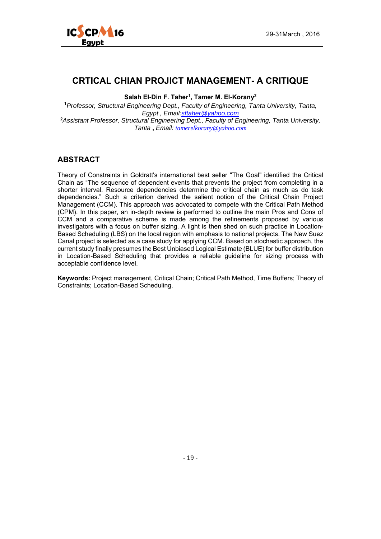

## **CRTICAL CHIAN PROJICT MANAGEMENT- A CRITIQUE**

Salah El-Din F. Taher<sup>1</sup>, Tamer M. El-Korany<sup>2</sup>

**<sup>1</sup>***Professor, Structural Engineering Dept., Faculty of Engineering, Tanta University, Tanta, Egypt , Email:sftaher@yahoo.com* **<sup>2</sup>***Assistant Professor, Structural Engineering Dept., Faculty of Engineering, Tanta University, Tanta* **,** *Email: tamerelkorany@yahoo.com*

#### **ABSTRACT**

Theory of Constraints in Goldratt's international best seller "The Goal" identified the Critical Chain as "The sequence of dependent events that prevents the project from completing in a shorter interval. Resource dependencies determine the critical chain as much as do task dependencies." Such a criterion derived the salient notion of the Critical Chain Project Management (CCM). This approach was advocated to compete with the Critical Path Method (CPM). In this paper, an in-depth review is performed to outline the main Pros and Cons of CCM and a comparative scheme is made among the refinements proposed by various investigators with a focus on buffer sizing. A light is then shed on such practice in Location-Based Scheduling (LBS) on the local region with emphasis to national projects. The New Suez Canal project is selected as a case study for applying CCM. Based on stochastic approach, the current study finally presumes the Best Unbiased Logical Estimate (BLUE) for buffer distribution in Location-Based Scheduling that provides a reliable guideline for sizing process with acceptable confidence level.

**Keywords:** Project management, Critical Chain; Critical Path Method, Time Buffers; Theory of Constraints; Location-Based Scheduling.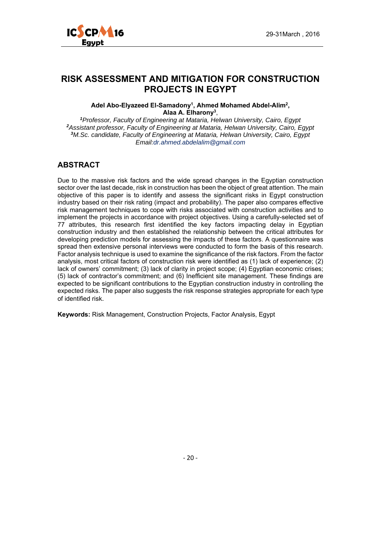

## **RISK ASSESSMENT AND MITIGATION FOR CONSTRUCTION PROJECTS IN EGYPT**

#### Adel Abo-Elyazeed El-Samadony<sup>1</sup>, Ahmed Mohamed Abdel-Alim<sup>2</sup>, **Alaa A. Elharony3**,

*Professor, Faculty of Engineering at Mataria, Helwan University, Cairo, Egypt Assistant professor, Faculty of Engineering at Mataria, Helwan University, Cairo, Egypt M.Sc. candidate, Faculty of Engineering at Mataria, Helwan University, Cairo, Egypt Email:dr.ahmed.abdelalim@gmail.com* 

#### **ABSTRACT**

Due to the massive risk factors and the wide spread changes in the Egyptian construction sector over the last decade, risk in construction has been the object of great attention. The main objective of this paper is to identify and assess the significant risks in Egypt construction industry based on their risk rating (impact and probability). The paper also compares effective risk management techniques to cope with risks associated with construction activities and to implement the projects in accordance with project objectives. Using a carefully-selected set of 77 attributes, this research first identified the key factors impacting delay in Egyptian construction industry and then established the relationship between the critical attributes for developing prediction models for assessing the impacts of these factors. A questionnaire was spread then extensive personal interviews were conducted to form the basis of this research. Factor analysis technique is used to examine the significance of the risk factors. From the factor analysis, most critical factors of construction risk were identified as (1) lack of experience; (2) lack of owners' commitment; (3) lack of clarity in project scope; (4) Egyptian economic crises; (5) lack of contractor's commitment; and (6) Inefficient site management. These findings are expected to be significant contributions to the Egyptian construction industry in controlling the expected risks. The paper also suggests the risk response strategies appropriate for each type of identified risk.

**Keywords:** Risk Management, Construction Projects, Factor Analysis, Egypt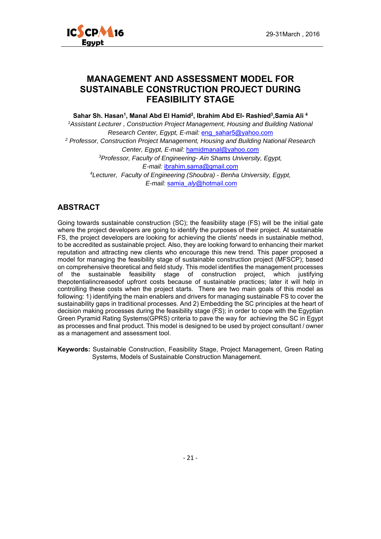

#### **MANAGEMENT AND ASSESSMENT MODEL FOR SUSTAINABLE CONSTRUCTION PROJECT DURING FEASIBILITY STAGE**

Sahar Sh. Hasan<sup>1</sup>, Manal Abd El Hamid<sup>2</sup>, Ibrahim Abd El- Rashied<sup>3</sup>, Samia Ali<sup>4</sup>

*1Assistant Lecturer , Construction Project Management, Housing and Building National Research Center, Egypt, E-mail:* eng\_sahar5@yahoo.com *2 Professor, Construction Project Management, Housing and Building National Research Center, Egypt, E-mail:* hamidmanal@yahoo.com *3Professor, Faculty of Engineering- Ain Shams University, Egypt, E-mail:* ibrahim.sama@gmail.com *4Lecturer, Faculty of Engineering (Shoubra) - Benha University, Egypt, E-mail:* samia*\_aly*@hotmail.com

#### **ABSTRACT**

Going towards sustainable construction (SC); the feasibility stage (FS) will be the initial gate where the project developers are going to identify the purposes of their project. At sustainable FS, the project developers are looking for achieving the clients' needs in sustainable method, to be accredited as sustainable project. Also, they are looking forward to enhancing their market reputation and attracting new clients who encourage this new trend. This paper proposed a model for managing the feasibility stage of sustainable construction project (MFSCP); based on comprehensive theoretical and field study. This model identifies the management processes of the sustainable feasibility stage of construction project, which justifying thepotentialincreasedof upfront costs because of sustainable practices; later it will help in controlling these costs when the project starts. There are two main goals of this model as following: 1) identifying the main enablers and drivers for managing sustainable FS to cover the sustainability gaps in traditional processes. And 2) Embedding the SC principles at the heart of decision making processes during the feasibility stage (FS); in order to cope with the Egyptian Green Pyramid Rating Systems(GPRS) criteria to pave the way for achieving the SC in Egypt as processes and final product. This model is designed to be used by project consultant / owner as a management and assessment tool.

**Keywords:** Sustainable Construction, Feasibility Stage, Project Management, Green Rating Systems, Models of Sustainable Construction Management.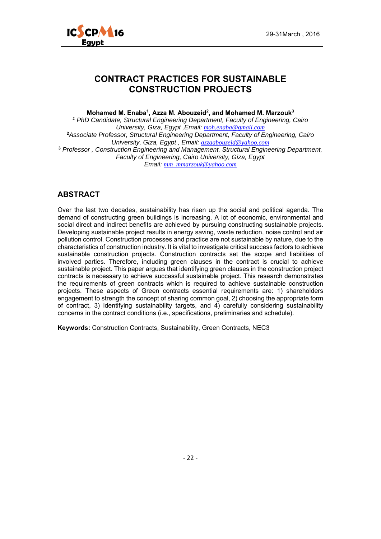



## **CONTRACT PRACTICES FOR SUSTAINABLE CONSTRUCTION PROJECTS**

**Mohamed M. Enaba1, Azza M. Abouzeid2, and Mohamed M. Marzouk3**

*<sup>1</sup> PhD Candidate, Structural Engineering Department, Faculty of Engineering, Cairo University, Giza, Egypt ,Email: moh.enaba@gmail.com* **<sup>2</sup>***Associate Professor, Structural Engineering Department, Faculty of Engineering, Cairo University, Giza, Egypt , Email: azzaabouzeid@yahoo.com* **<sup>3</sup>** *Professor , Construction Engineering and Management, Structural Engineering Department, Faculty of Engineering, Cairo University, Giza, Egypt Email: mm\_mmarzouk@yahoo.com*

#### **ABSTRACT**

Over the last two decades, sustainability has risen up the social and political agenda. The demand of constructing green buildings is increasing. A lot of economic, environmental and social direct and indirect benefits are achieved by pursuing constructing sustainable projects. Developing sustainable project results in energy saving, waste reduction, noise control and air pollution control. Construction processes and practice are not sustainable by nature, due to the characteristics of construction industry. It is vital to investigate critical success factors to achieve sustainable construction projects. Construction contracts set the scope and liabilities of involved parties. Therefore, including green clauses in the contract is crucial to achieve sustainable project. This paper argues that identifying green clauses in the construction project contracts is necessary to achieve successful sustainable project. This research demonstrates the requirements of green contracts which is required to achieve sustainable construction projects. These aspects of Green contracts essential requirements are: 1) shareholders engagement to strength the concept of sharing common goal, 2) choosing the appropriate form of contract, 3) identifying sustainability targets, and 4) carefully considering sustainability concerns in the contract conditions (i.e., specifications, preliminaries and schedule).

**Keywords:** Construction Contracts, Sustainability, Green Contracts, NEC3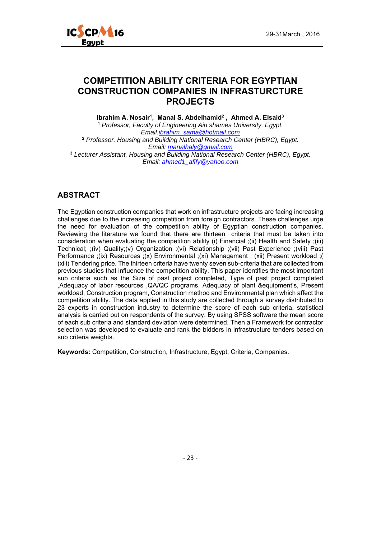

## **COMPETITION ABILITY CRITERIA FOR EGYPTIAN CONSTRUCTION COMPANIES IN INFRASTURCTURE PROJECTS**

**Ibrahim A. Nosair1, Manal S. Abdelhamid2 , Ahmed A. Elsaid3**

**<sup>1</sup>** *Professor, Faculty of Engineering Ain shames University, Egypt. Email:ibrahim\_sama@hotmail.com* **<sup>2</sup>** *Professor, Housing and Building National Research Center (HBRC), Egypt. Email: manalhaly@gmail.com* **<sup>3</sup>** *Lecturer Assistant, Housing and Building National Research Center (HBRC), Egypt. Email: ahmed1\_afify@yahoo.com*

#### **ABSTRACT**

The Egyptian construction companies that work on infrastructure projects are facing increasing challenges due to the increasing competition from foreign contractors. These challenges urge the need for evaluation of the competition ability of Egyptian construction companies. Reviewing the literature we found that there are thirteen criteria that must be taken into consideration when evaluating the competition ability (i) Financial ;(ii) Health and Safety ;(iii) Technical; ;(iv) Quality;(v) Organization ;(vi) Relationship ;(vii) Past Experience ;(viii) Past Performance ;(ix) Resources ;(x) Environmental ;(xi) Management ; (xii) Present workload ;( (xiii) Tendering price. The thirteen criteria have twenty seven sub-criteria that are collected from previous studies that influence the competition ability. This paper identifies the most important sub criteria such as the Size of past project completed, Type of past project completed ,Adequacy of labor resources ,QA/QC programs, Adequacy of plant &equipment's, Present workload, Construction program, Construction method and Environmental plan which affect the competition ability. The data applied in this study are collected through a survey distributed to 23 experts in construction industry to determine the score of each sub criteria, statistical analysis is carried out on respondents of the survey. By using SPSS software the mean score of each sub criteria and standard deviation were determined. Then a Framework for contractor selection was developed to evaluate and rank the bidders in infrastructure tenders based on sub criteria weights.

**Keywords:** Competition, Construction, Infrastructure, Egypt, Criteria, Companies.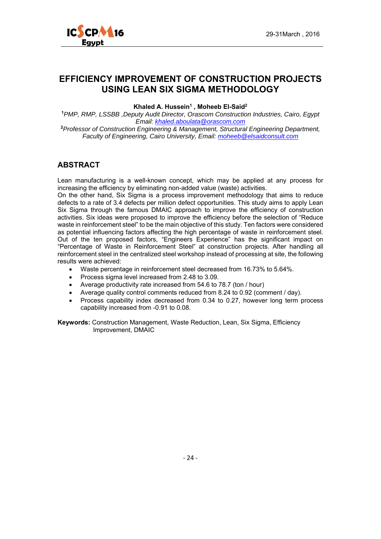

## **EFFICIENCY IMPROVEMENT OF CONSTRUCTION PROJECTS USING LEAN SIX SIGMA METHODOLOGY**

#### Khaled A. Hussein<sup>1</sup>, Moheeb El-Said<sup>2</sup>

**<sup>1</sup>***PMP, RMP, LSSBB ,Deputy Audit Director, Orascom Construction Industries, Cairo, Egypt Email: khaled.aboulata@orascom.com*

**<sup>2</sup>***Professor of Construction Engineering & Management, Structural Engineering Department, Faculty of Engineering, Cairo University, Email: moheeb@elsaidconsult.com*

#### **ABSTRACT**

Lean manufacturing is a well-known concept, which may be applied at any process for increasing the efficiency by eliminating non-added value (waste) activities.

On the other hand, Six Sigma is a process improvement methodology that aims to reduce defects to a rate of 3.4 defects per million defect opportunities. This study aims to apply Lean Six Sigma through the famous DMAIC approach to improve the efficiency of construction activities. Six ideas were proposed to improve the efficiency before the selection of "Reduce waste in reinforcement steel" to be the main objective of this study. Ten factors were considered as potential influencing factors affecting the high percentage of waste in reinforcement steel. Out of the ten proposed factors, "Engineers Experience" has the significant impact on "Percentage of Waste in Reinforcement Steel" at construction projects. After handling all reinforcement steel in the centralized steel workshop instead of processing at site, the following results were achieved:

- Waste percentage in reinforcement steel decreased from 16.73% to 5.64%.
- Process sigma level increased from 2.48 to 3.09.
- Average productivity rate increased from 54.6 to 78.7 (ton / hour)
- Average quality control comments reduced from 8.24 to 0.92 (comment / day).
- Process capability index decreased from 0.34 to 0.27, however long term process capability increased from -0.91 to 0.08.

**Keywords:** Construction Management, Waste Reduction, Lean, Six Sigma, Efficiency Improvement, DMAIC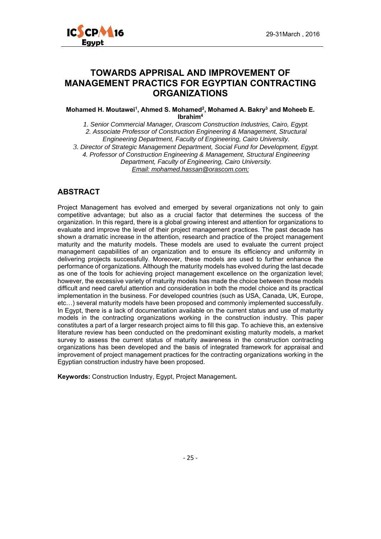

## **TOWARDS APPRISAL AND IMPROVEMENT OF MANAGEMENT PRACTICS FOR EGYPTIAN CONTRACTING ORGANIZATIONS**

**Mohamed H. Moutawei1, Ahmed S. Mohamed2, Mohamed A. Bakry3 and Moheeb E. Ibrahim4**

*1. Senior Commercial Manager, Orascom Construction Industries, Cairo, Egypt. 2. Associate Professor of Construction Engineering & Management, Structural Engineering Department, Faculty of Engineering, Cairo University.* 

*3. Director of Strategic Management Department, Social Fund for Development, Egypt. 4. Professor of Construction Engineering & Management, Structural Engineering Department, Faculty of Engineering, Cairo University. Email: mohamed.hassan@orascom.com;* 

#### **ABSTRACT**

Project Management has evolved and emerged by several organizations not only to gain competitive advantage; but also as a crucial factor that determines the success of the organization. In this regard, there is a global growing interest and attention for organizations to evaluate and improve the level of their project management practices. The past decade has shown a dramatic increase in the attention, research and practice of the project management maturity and the maturity models. These models are used to evaluate the current project management capabilities of an organization and to ensure its efficiency and uniformity in delivering projects successfully. Moreover, these models are used to further enhance the performance of organizations. Although the maturity models has evolved during the last decade as one of the tools for achieving project management excellence on the organization level; however, the excessive variety of maturity models has made the choice between those models difficult and need careful attention and consideration in both the model choice and its practical implementation in the business. For developed countries (such as USA, Canada, UK, Europe, etc…) several maturity models have been proposed and commonly implemented successfully. In Egypt, there is a lack of documentation available on the current status and use of maturity models in the contracting organizations working in the construction industry. This paper constitutes a part of a larger research project aims to fill this gap. To achieve this, an extensive literature review has been conducted on the predominant existing maturity models, a market survey to assess the current status of maturity awareness in the construction contracting organizations has been developed and the basis of integrated framework for appraisal and improvement of project management practices for the contracting organizations working in the Egyptian construction industry have been proposed.

**Keywords:** Construction Industry, Egypt, Project Management**.**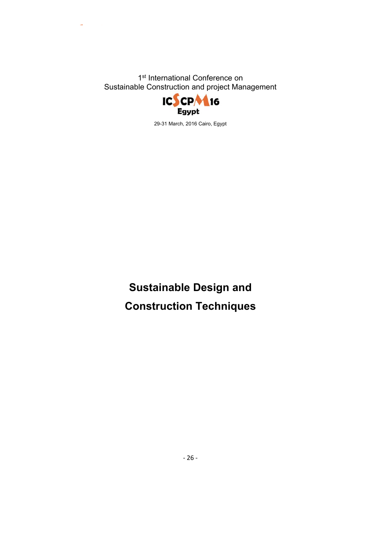

29-31 March, 2016 Cairo, Egypt

**Sustainable Design and Construction Techniques**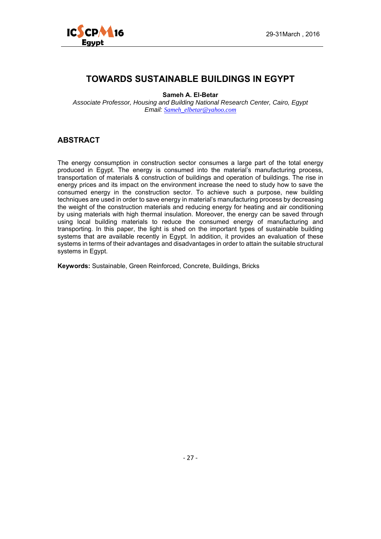

## **TOWARDS SUSTAINABLE BUILDINGS IN EGYPT**

**Sameh A. El-Betar** 

*Associate Professor, Housing and Building National Research Center, Cairo, Egypt Email: Sameh\_elbetar@yahoo.com* 

#### **ABSTRACT**

The energy consumption in construction sector consumes a large part of the total energy produced in Egypt. The energy is consumed into the material's manufacturing process, transportation of materials & construction of buildings and operation of buildings. The rise in energy prices and its impact on the environment increase the need to study how to save the consumed energy in the construction sector. To achieve such a purpose, new building techniques are used in order to save energy in material's manufacturing process by decreasing the weight of the construction materials and reducing energy for heating and air conditioning by using materials with high thermal insulation. Moreover, the energy can be saved through using local building materials to reduce the consumed energy of manufacturing and transporting. In this paper, the light is shed on the important types of sustainable building systems that are available recently in Egypt. In addition, it provides an evaluation of these systems in terms of their advantages and disadvantages in order to attain the suitable structural systems in Egypt.

**Keywords:** Sustainable, Green Reinforced, Concrete, Buildings, Bricks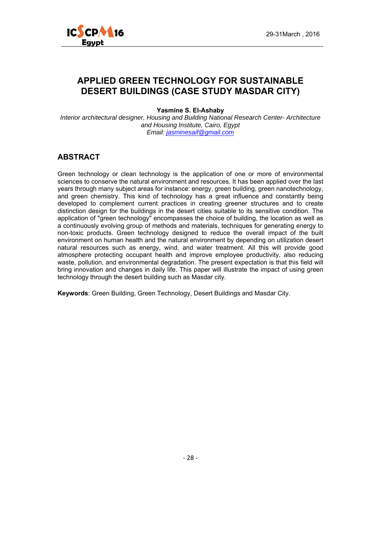



## **APPLIED GREEN TECHNOLOGY FOR SUSTAINABLE DESERT BUILDINGS (CASE STUDY MASDAR CITY)**

**Yasmine S. El-Ashaby** 

*Interior architectural designer, Housing and Building National Research Center- Architecture and Housing Institute, Cairo, Egypt Email: jasminesaif@gmail.com*

#### **ABSTRACT**

Green technology or clean technology is the application of one or more of environmental sciences to conserve the natural environment and resources. It has been applied over the last years through many subject areas for instance: energy, green building, green nanotechnology, and green chemistry. This kind of technology has a great influence and constantly being developed to complement current practices in creating greener structures and to create distinction design for the buildings in the desert cities suitable to its sensitive condition. The application of "green technology" encompasses the choice of building, the location as well as a continuously evolving group of methods and materials, techniques for generating energy to non-toxic products. Green technology designed to reduce the overall impact of the built environment on human health and the natural environment by depending on utilization desert natural resources such as energy, wind, and water treatment. All this will provide good atmosphere protecting occupant health and improve employee productivity, also reducing waste, pollution, and environmental degradation. The present expectation is that this field will bring innovation and changes in daily life. This paper will illustrate the impact of using green technology through the desert building such as Masdar city.

**Keywords**: Green Building, Green Technology, Desert Buildings and Masdar City.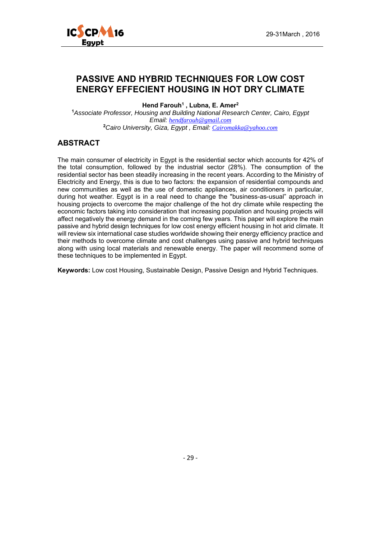

## **PASSIVE AND HYBRID TECHNIQUES FOR LOW COST ENERGY EFFECIENT HOUSING IN HOT DRY CLIMATE**

**Hend Farouh1 , Lubna, E. Amer2**

**<sup>1</sup>***Associate Professor, Housing and Building National Research Center, Cairo, Egypt Email: hendfarouh@gmail.com* **<sup>2</sup>***Cairo University, Giza, Egypt , Email: Cairomakka@yahoo.com*

#### **ABSTRACT**

The main consumer of electricity in Egypt is the residential sector which accounts for 42% of the total consumption, followed by the industrial sector (28%). The consumption of the residential sector has been steadily increasing in the recent years. According to the Ministry of Electricity and Energy, this is due to two factors: the expansion of residential compounds and new communities as well as the use of domestic appliances, air conditioners in particular, during hot weather. Egypt is in a real need to change the "business-as-usual" approach in housing projects to overcome the major challenge of the hot dry climate while respecting the economic factors taking into consideration that increasing population and housing projects will affect negatively the energy demand in the coming few years. This paper will explore the main passive and hybrid design techniques for low cost energy efficient housing in hot arid climate. It will review six international case studies worldwide showing their energy efficiency practice and their methods to overcome climate and cost challenges using passive and hybrid techniques along with using local materials and renewable energy. The paper will recommend some of these techniques to be implemented in Egypt.

**Keywords:** Low cost Housing, Sustainable Design, Passive Design and Hybrid Techniques.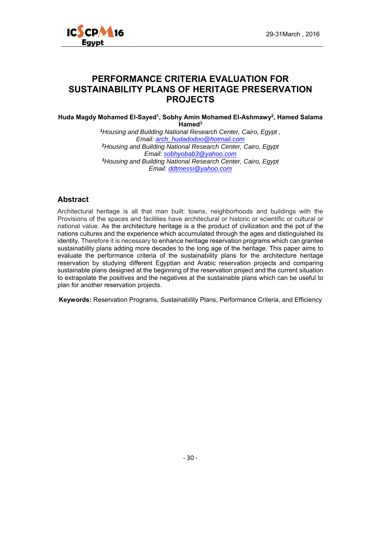

## **PERFORMANCE CRITERIA EVALUATION FOR SUSTAINABILITY PLANS OF HERITAGE PRESERVATION PROJECTS**

**Huda Magdy Mohamed El-Sayed1, Sobhy Amin Mohamed El-Ashmawy2, Hamed Salama Hamed3**

> *<sup>1</sup>Housing and Building National Research Center, Cairo, Egypt , Email: arch\_hudadodoo@hotmail.com <sup>2</sup>Housing and Building National Research Center, Cairo, Egypt Email: sobhyobab3@yahoo.com <sup>3</sup>Housing and Building National Research Center, Cairo, Egypt Email: ddtmessi@yahoo.com*

#### **Abstract**

Architectural heritage is all that man built: towns, neighborhoods and buildings with the Provisions of the spaces and facilities have architectural or historic or scientific or cultural or national value. As the architecture heritage is a the product of civilization and the pot of the nations cultures and the experience which accumulated through the ages and distinguished its identity, Therefore it is necessary to enhance heritage reservation programs which can grantee sustainability plans adding more decades to the long age of the heritage. This paper aims to evaluate the performance criteria of the sustainability plans for the architecture heritage reservation by studying different Egyptian and Arabic reservation projects and comparing sustainable plans designed at the beginning of the reservation project and the current situation to extrapolate the positives and the negatives at the sustainable plans which can be useful to plan for another reservation projects.

**Keywords:** Reservation Programs, Sustainability Plans, Performance Criteria, and Efficiency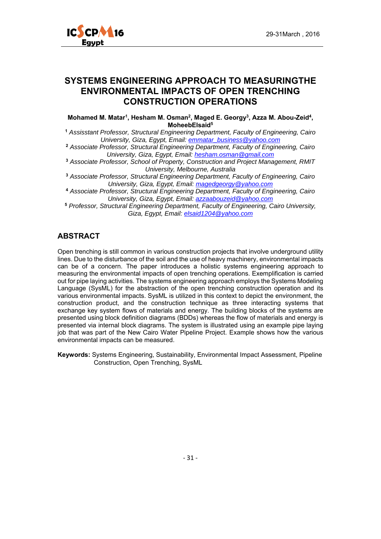

## **SYSTEMS ENGINEERING APPROACH TO MEASURINGTHE ENVIRONMENTAL IMPACTS OF OPEN TRENCHING CONSTRUCTION OPERATIONS**

**Mohamed M. Matar1, Hesham M. Osman2, Maged E. Georgy3, Azza M. Abou-Zeid4, MoheebElsaid5**

**<sup>1</sup>** *Assisstant Professor, Structural Engineering Department, Faculty of Engineering, Cairo University, Giza, Egypt, Email: emmatar\_business@yahoo.com*

**<sup>2</sup>** *Associate Professor, Structural Engineering Department, Faculty of Engineering, Cairo University, Giza, Egypt, Email: hesham.osman@gmail.com*

**<sup>3</sup>** *Associate Professor, School of Property, Construction and Project Management, RMIT University, Melbourne, Australia* 

**<sup>3</sup>** *Associate Professor, Structural Engineering Department, Faculty of Engineering, Cairo University, Giza, Egypt, Email: magedgeorgy@yahoo.com*

**<sup>4</sup>** *Associate Professor, Structural Engineering Department, Faculty of Engineering, Cairo University, Giza, Egypt, Email: azzaabouzeid@yahoo.com*

**<sup>5</sup>** *Professor, Structural Engineering Department, Faculty of Engineering, Cairo University, Giza, Egypt, Email: elsaid1204@yahoo.com*

#### **ABSTRACT**

Open trenching is still common in various construction projects that involve underground utility lines. Due to the disturbance of the soil and the use of heavy machinery, environmental impacts can be of a concern. The paper introduces a holistic systems engineering approach to measuring the environmental impacts of open trenching operations. Exemplification is carried out for pipe laying activities. The systems engineering approach employs the Systems Modeling Language (SysML) for the abstraction of the open trenching construction operation and its various environmental impacts. SysML is utilized in this context to depict the environment, the construction product, and the construction technique as three interacting systems that exchange key system flows of materials and energy. The building blocks of the systems are presented using block definition diagrams (BDDs) whereas the flow of materials and energy is presented via internal block diagrams. The system is illustrated using an example pipe laying job that was part of the New Cairo Water Pipeline Project. Example shows how the various environmental impacts can be measured.

**Keywords:** Systems Engineering, Sustainability, Environmental Impact Assessment, Pipeline Construction, Open Trenching, SysML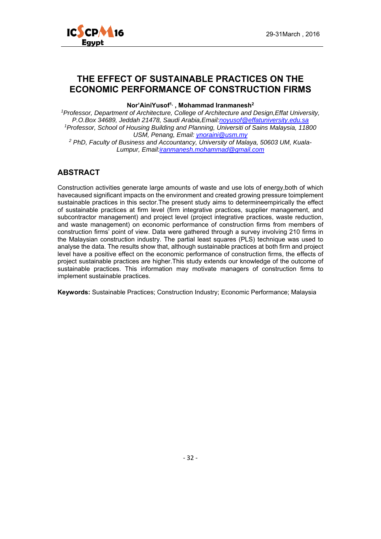

#### **THE EFFECT OF SUSTAINABLE PRACTICES ON THE ECONOMIC PERFORMANCE OF CONSTRUCTION FIRMS**

#### **Nor'AiniYusof1, , Mohammad Iranmanesh2**

*1Professor, Department of Architecture, College of Architecture and Design,Effat University, P.O.Box 34689, Jeddah 21478, Saudi Arabia,Email:noyusof@effatuniversity.edu.sa 1Professor, School of Housing Building and Planning, Universiti of Sains Malaysia, 11800 USM, Penang, Email: ynoraini@usm.my*

*2 PhD, Faculty of Business and Accountancy, University of Malaya, 50603 UM, Kuala-Lumpur, Email:iranmanesh.mohammad@gmail.com*

#### **ABSTRACT**

Construction activities generate large amounts of waste and use lots of energy,both of which havecaused significant impacts on the environment and created growing pressure toimplement sustainable practices in this sector.The present study aims to determineempirically the effect of sustainable practices at firm level (firm integrative practices, supplier management, and subcontractor management) and project level (project integrative practices, waste reduction, and waste management) on economic performance of construction firms from members of construction firms' point of view. Data were gathered through a survey involving 210 firms in the Malaysian construction industry. The partial least squares (PLS) technique was used to analyse the data. The results show that, although sustainable practices at both firm and project level have a positive effect on the economic performance of construction firms, the effects of project sustainable practices are higher.This study extends our knowledge of the outcome of sustainable practices. This information may motivate managers of construction firms to implement sustainable practices.

**Keywords:** Sustainable Practices; Construction Industry; Economic Performance; Malaysia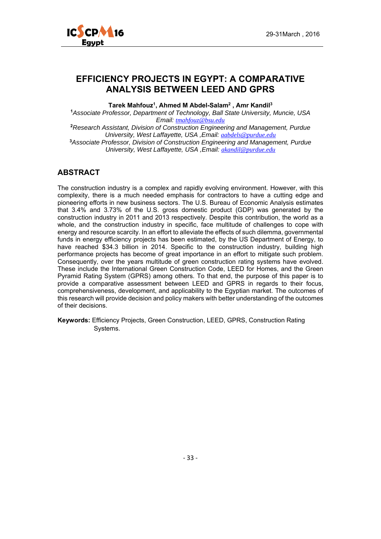

#### **EFFICIENCY PROJECTS IN EGYPT: A COMPARATIVE ANALYSIS BETWEEN LEED AND GPRS**

**Tarek Mahfouz1, Ahmed M Abdel-Salam2 , Amr Kandil3**

**<sup>1</sup>***Associate Professor, Department of Technology, Ball State University, Muncie, USA Email: tmahfouz@bsu.edu* **<sup>2</sup>***Research Assistant, Division of Construction Engineering and Management, Purdue University, West Laffayette, USA ,Email: aabdels@purdue.edu* **<sup>3</sup>***Associate Professor, Division of Construction Engineering and Management, Purdue University, West Laffayette, USA ,Email: akandil@purdue.edu*

#### **ABSTRACT**

The construction industry is a complex and rapidly evolving environment. However, with this complexity, there is a much needed emphasis for contractors to have a cutting edge and pioneering efforts in new business sectors. The U.S. Bureau of Economic Analysis estimates that 3.4% and 3.73% of the U.S. gross domestic product (GDP) was generated by the construction industry in 2011 and 2013 respectively. Despite this contribution, the world as a whole, and the construction industry in specific, face multitude of challenges to cope with energy and resource scarcity. In an effort to alleviate the effects of such dilemma, governmental funds in energy efficiency projects has been estimated, by the US Department of Energy, to have reached \$34.3 billion in 2014. Specific to the construction industry, building high performance projects has become of great importance in an effort to mitigate such problem. Consequently, over the years multitude of green construction rating systems have evolved. These include the International Green Construction Code, LEED for Homes, and the Green Pyramid Rating System (GPRS) among others. To that end, the purpose of this paper is to provide a comparative assessment between LEED and GPRS in regards to their focus, comprehensiveness, development, and applicability to the Egyptian market. The outcomes of this research will provide decision and policy makers with better understanding of the outcomes of their decisions.

**Keywords:** Efficiency Projects, Green Construction, LEED, GPRS, Construction Rating Systems.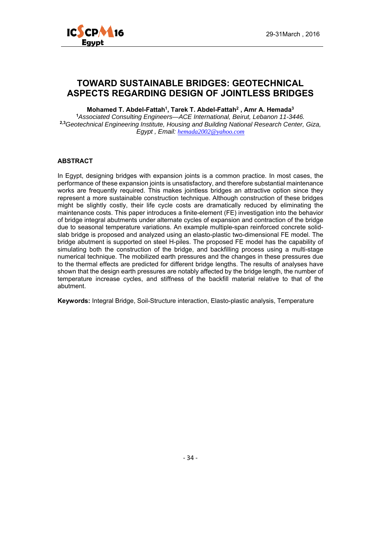

#### **TOWARD SUSTAINABLE BRIDGES: GEOTECHNICAL ASPECTS REGARDING DESIGN OF JOINTLESS BRIDGES**

**Mohamed T. Abdel-Fattah1, Tarek T. Abdel-Fattah2 , Amr A. Hemada3 <sup>1</sup>***Associated Consulting Engineers—ACE International, Beirut, Lebanon 11-3446.*  **2,3***Geotechnical Engineering Institute, Housing and Building National Research Center, Giza, Egypt , Email: hemada2002@yahoo.com*

#### **ABSTRACT**

In Egypt, designing bridges with expansion joints is a common practice. In most cases, the performance of these expansion joints is unsatisfactory, and therefore substantial maintenance works are frequently required. This makes jointless bridges an attractive option since they represent a more sustainable construction technique. Although construction of these bridges might be slightly costly, their life cycle costs are dramatically reduced by eliminating the maintenance costs. This paper introduces a finite-element (FE) investigation into the behavior of bridge integral abutments under alternate cycles of expansion and contraction of the bridge due to seasonal temperature variations. An example multiple-span reinforced concrete solidslab bridge is proposed and analyzed using an elasto-plastic two-dimensional FE model. The bridge abutment is supported on steel H-piles. The proposed FE model has the capability of simulating both the construction of the bridge, and backfilling process using a multi-stage numerical technique. The mobilized earth pressures and the changes in these pressures due to the thermal effects are predicted for different bridge lengths. The results of analyses have shown that the design earth pressures are notably affected by the bridge length, the number of temperature increase cycles, and stiffness of the backfill material relative to that of the abutment.

**Keywords:** Integral Bridge, Soil-Structure interaction, Elasto-plastic analysis, Temperature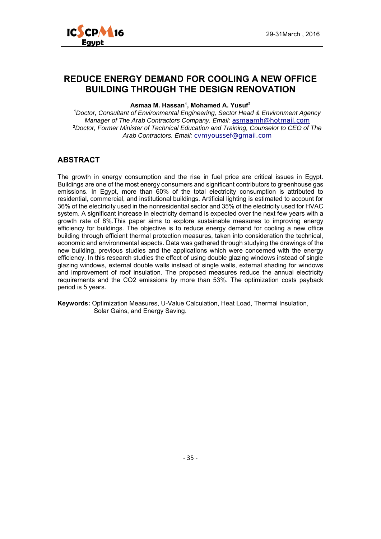

## **REDUCE ENERGY DEMAND FOR COOLING A NEW OFFICE BUILDING THROUGH THE DESIGN RENOVATION**

#### Asmaa M. Hassan<sup>1</sup>, Mohamed A. Yusuf<sup>2</sup>

**<sup>1</sup>***Doctor, Consultant of Environmental Engineering, Sector Head & Environment Agency Manager of The Arab Contractors Company. Email: asmaamh@hotmail.com* **<sup>2</sup>***Doctor, Former Minister of Technical Education and Training, Counselor to CEO of The Arab Contractors. Email: cvmyoussef@gmail.com*

#### **ABSTRACT**

The growth in energy consumption and the rise in fuel price are critical issues in Egypt. Buildings are one of the most energy consumers and significant contributors to greenhouse gas emissions. In Egypt, more than 60% of the total electricity consumption is attributed to residential, commercial, and institutional buildings. Artificial lighting is estimated to account for 36% of the electricity used in the nonresidential sector and 35% of the electricity used for HVAC system. A significant increase in electricity demand is expected over the next few years with a growth rate of 8%.This paper aims to explore sustainable measures to improving energy efficiency for buildings. The objective is to reduce energy demand for cooling a new office building through efficient thermal protection measures, taken into consideration the technical, economic and environmental aspects. Data was gathered through studying the drawings of the new building, previous studies and the applications which were concerned with the energy efficiency. In this research studies the effect of using double glazing windows instead of single glazing windows, external double walls instead of single walls, external shading for windows and improvement of roof insulation. The proposed measures reduce the annual electricity requirements and the CO2 emissions by more than 53%. The optimization costs payback period is 5 years.

**Keywords:** Optimization Measures, U-Value Calculation, Heat Load, Thermal Insulation, Solar Gains, and Energy Saving.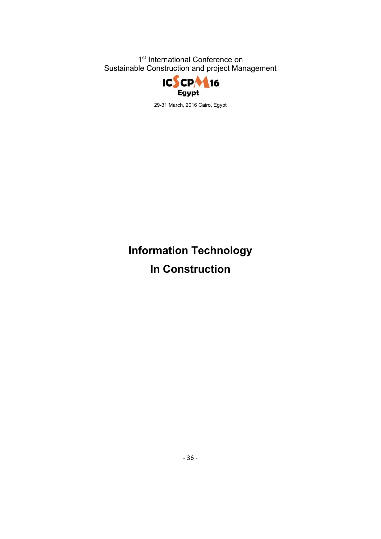

29-31 March, 2016 Cairo, Egypt

# **Information Technology In Construction**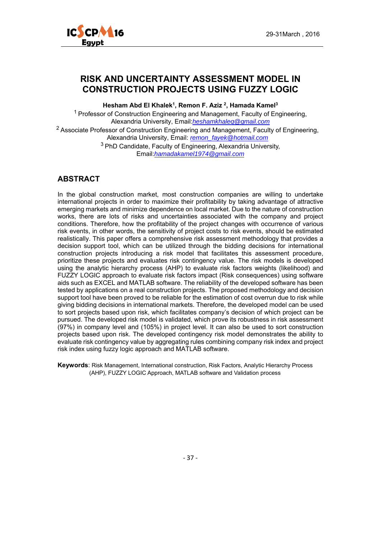

## **RISK AND UNCERTAINTY ASSESSMENT MODEL IN CONSTRUCTION PROJECTS USING FUZZY LOGIC**

**Hesham Abd El Khalek1, Remon F. Aziz 2, Hamada Kamel3** 

<sup>1</sup> Professor of Construction Engineering and Management, Faculty of Engineering, Alexandria University, Email:*heshamkhaleq@gmail.com* <sup>2</sup> Associate Professor of Construction Engineering and Management, Faculty of Engineering,

Alexandria University, Email: *remon\_fayek@hotmail.com* 3 PhD Candidate, Faculty of Engineering, Alexandria University,

Email:*hamadakamel1974@gmail.com*

#### **ABSTRACT**

In the global construction market, most construction companies are willing to undertake international projects in order to maximize their profitability by taking advantage of attractive emerging markets and minimize dependence on local market. Due to the nature of construction works, there are lots of risks and uncertainties associated with the company and project conditions. Therefore, how the profitability of the project changes with occurrence of various risk events, in other words, the sensitivity of project costs to risk events, should be estimated realistically. This paper offers a comprehensive risk assessment methodology that provides a decision support tool, which can be utilized through the bidding decisions for international construction projects introducing a risk model that facilitates this assessment procedure, prioritize these projects and evaluates risk contingency value. The risk models is developed using the analytic hierarchy process (AHP) to evaluate risk factors weights (likelihood) and FUZZY LOGIC approach to evaluate risk factors impact (Risk consequences) using software aids such as EXCEL and MATLAB software. The reliability of the developed software has been tested by applications on a real construction projects. The proposed methodology and decision support tool have been proved to be reliable for the estimation of cost overrun due to risk while giving bidding decisions in international markets. Therefore, the developed model can be used to sort projects based upon risk, which facilitates company's decision of which project can be pursued. The developed risk model is validated, which prove its robustness in risk assessment (97%) in company level and (105%) in project level. It can also be used to sort construction projects based upon risk. The developed contingency risk model demonstrates the ability to evaluate risk contingency value by aggregating rules combining company risk index and project risk index using fuzzy logic approach and MATLAB software.

**Keywords**: Risk Management, International construction, Risk Factors, Analytic Hierarchy Process (AHP), FUZZY LOGIC Approach, MATLAB software and Validation process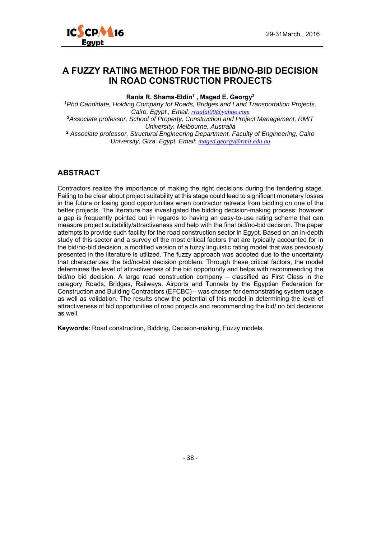

#### **A FUZZY RATING METHOD FOR THE BID/NO-BID DECISION IN ROAD CONSTRUCTION PROJECTS**

**Rania R. Shams-Eldin1 , Maged E. Georgy2**

**<sup>1</sup>***Phd Candidate, Holding Company for Roads, Bridges and Land Transportation Projects, Cairo, Egypt , Email: rraafat00@yahoo.com* **<sup>2</sup>***Associate professor, School of Property, Construction and Project Management, RMIT University, Melbourne, Australia*  **<sup>2</sup>** *Associate professor, Structural Engineering Department, Faculty of Engineering, Cairo University, Giza, Egypt, Email: maged.georgy@rmit.edu.au*

#### **ABSTRACT**

Contractors realize the importance of making the right decisions during the tendering stage. Failing to be clear about project suitability at this stage could lead to significant monetary losses in the future or losing good opportunities when contractor retreats from bidding on one of the better projects. The literature has investigated the bidding decision-making process; however a gap is frequently pointed out in regards to having an easy-to-use rating scheme that can measure project suitability/attractiveness and help with the final bid/no-bid decision. The paper attempts to provide such facility for the road construction sector in Egypt. Based on an in-depth study of this sector and a survey of the most critical factors that are typically accounted for in the bid/no-bid decision, a modified version of a fuzzy linguistic rating model that was previously presented in the literature is utilized. The fuzzy approach was adopted due to the uncertainty that characterizes the bid/no-bid decision problem. Through these critical factors, the model determines the level of attractiveness of the bid opportunity and helps with recommending the bid/no bid decision. A large road construction company – classified as First Class in the category Roads, Bridges, Railways, Airports and Tunnels by the Egyptian Federation for Construction and Building Contractors (EFCBC) – was chosen for demonstrating system usage as well as validation. The results show the potential of this model in determining the level of attractiveness of bid opportunities of road projects and recommending the bid/ no bid decisions as well.

**Keywords:** Road construction, Bidding, Decision-making, Fuzzy models.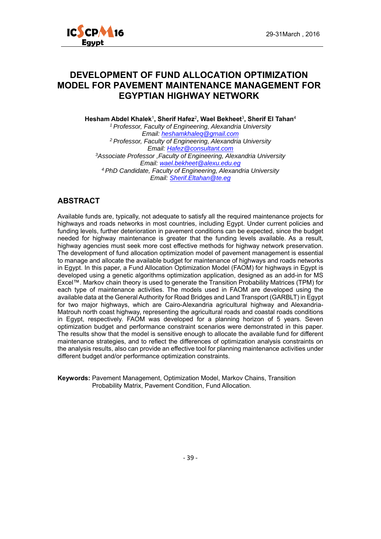

## **DEVELOPMENT OF FUND ALLOCATION OPTIMIZATION MODEL FOR PAVEMENT MAINTENANCE MANAGEMENT FOR EGYPTIAN HIGHWAY NETWORK**

**Hesham Abdel Khalek**<sup>1</sup>**, Sherif Hafez**<sup>2</sup>**, Wael Bekheet**<sup>3</sup>**, Sherif El Tahan**<sup>4</sup> *1 Professor, Faculty of Engineering, Alexandria University Email: heshamkhaleq@gmail.com 2 Professor, Faculty of Engineering, Alexandria University Email: Hafez@consultant.com 3Associate Professor ,Faculty of Engineering, Alexandria University Email: wael.bekheet@alexu.edu.eg 4 PhD Candidate, Faculty of Engineering, Alexandria University Email: Sherif.Eltahan@te.eg*

#### **ABSTRACT**

Available funds are, typically, not adequate to satisfy all the required maintenance projects for highways and roads networks in most countries, including Egypt. Under current policies and funding levels, further deterioration in pavement conditions can be expected, since the budget needed for highway maintenance is greater that the funding levels available. As a result, highway agencies must seek more cost effective methods for highway network preservation. The development of fund allocation optimization model of pavement management is essential to manage and allocate the available budget for maintenance of highways and roads networks in Egypt. In this paper, a Fund Allocation Optimization Model (FAOM) for highways in Egypt is developed using a genetic algorithms optimization application, designed as an add-in for MS Excel™. Markov chain theory is used to generate the Transition Probability Matrices (TPM) for each type of maintenance activities. The models used in FAOM are developed using the available data at the General Authority for Road Bridges and Land Transport (GARBLT) in Egypt for two major highways, which are Cairo-Alexandria agricultural highway and Alexandria-Matrouh north coast highway, representing the agricultural roads and coastal roads conditions in Egypt, respectively. FAOM was developed for a planning horizon of 5 years. Seven optimization budget and performance constraint scenarios were demonstrated in this paper. The results show that the model is sensitive enough to allocate the available fund for different maintenance strategies, and to reflect the differences of optimization analysis constraints on the analysis results, also can provide an effective tool for planning maintenance activities under different budget and/or performance optimization constraints.

**Keywords:** Pavement Management, Optimization Model, Markov Chains, Transition Probability Matrix, Pavement Condition, Fund Allocation.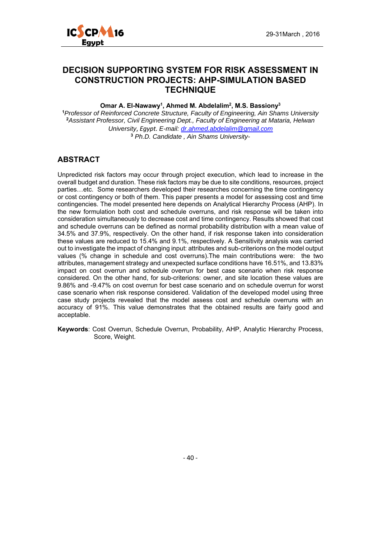

## **DECISION SUPPORTING SYSTEM FOR RISK ASSESSMENT IN CONSTRUCTION PROJECTS: AHP-SIMULATION BASED TECHNIQUE**

**Omar A. El-Nawawy1, Ahmed M. Abdelalim2, M.S. Bassiony3**

*Professor of Reinforced Concrete Structure, Faculty of Engineering, Ain Shams University Assistant Professor, Civil Engineering Dept., Faculty of Engineering at Mataria, Helwan University*, *Egypt. E-mail: dr.ahmed.abdelalim@gmail.com Ph.D. Candidate , Ain Shams University-*

#### **ABSTRACT**

Unpredicted risk factors may occur through project execution, which lead to increase in the overall budget and duration. These risk factors may be due to site conditions, resources, project parties…etc. Some researchers developed their researches concerning the time contingency or cost contingency or both of them. This paper presents a model for assessing cost and time contingencies. The model presented here depends on Analytical Hierarchy Process (AHP). In the new formulation both cost and schedule overruns, and risk response will be taken into consideration simultaneously to decrease cost and time contingency. Results showed that cost and schedule overruns can be defined as normal probability distribution with a mean value of 34.5% and 37.9%, respectively. On the other hand, if risk response taken into consideration these values are reduced to 15.4% and 9.1%, respectively. A Sensitivity analysis was carried out to investigate the impact of changing input: attributes and sub-criterions on the model output values (% change in schedule and cost overruns).The main contributions were: the two attributes, management strategy and unexpected surface conditions have 16.51%, and 13.83% impact on cost overrun and schedule overrun for best case scenario when risk response considered. On the other hand, for sub-criterions: owner, and site location these values are 9.86% and -9.47% on cost overrun for best case scenario and on schedule overrun for worst case scenario when risk response considered. Validation of the developed model using three case study projects revealed that the model assess cost and schedule overruns with an accuracy of 91%. This value demonstrates that the obtained results are fairly good and acceptable.

**Keywords**: Cost Overrun, Schedule Overrun, Probability, AHP, Analytic Hierarchy Process, Score, Weight.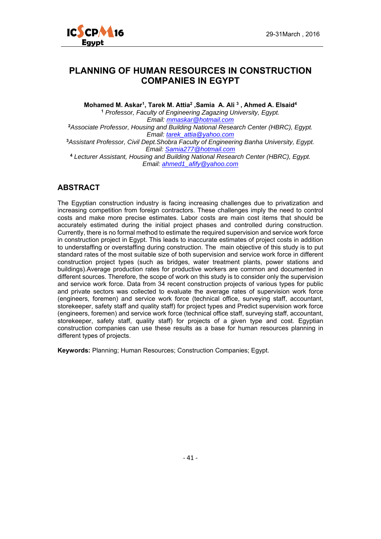

#### **PLANNING OF HUMAN RESOURCES IN CONSTRUCTION COMPANIES IN EGYPT**

Mohamed M. Askar<sup>1</sup>, Tarek M. Attia<sup>2</sup>, Samia A. Ali<sup>3</sup>, Ahmed A. Elsaid<sup>4</sup> **<sup>1</sup>** *Professor, Faculty of Engineering Zagazing University, Egypt. Email: mmaskar@hotmail.com* **<sup>2</sup>***Associate Professor, Housing and Building National Research Center (HBRC), Egypt. Email: tarek\_attia@yahoo.com* **<sup>3</sup>***Assistant Professor, Civil Dept.Shobra Faculty of Engineering Banha University, Egypt. Email: Samia277@hotmail.com* **<sup>4</sup>** *Lecturer Assistant, Housing and Building National Research Center (HBRC), Egypt. Email: ahmed1\_afify@yahoo.com*

#### **ABSTRACT**

The Egyptian construction industry is facing increasing challenges due to privatization and increasing competition from foreign contractors. These challenges imply the need to control costs and make more precise estimates. Labor costs are main cost items that should be accurately estimated during the initial project phases and controlled during construction. Currently, there is no formal method to estimate the required supervision and service work force in construction project in Egypt. This leads to inaccurate estimates of project costs in addition to understaffing or overstaffing during construction. The main objective of this study is to put standard rates of the most suitable size of both supervision and service work force in different construction project types (such as bridges, water treatment plants, power stations and buildings).Average production rates for productive workers are common and documented in different sources. Therefore, the scope of work on this study is to consider only the supervision and service work force. Data from 34 recent construction projects of various types for public and private sectors was collected to evaluate the average rates of supervision work force (engineers, foremen) and service work force (technical office, surveying staff, accountant, storekeeper, safety staff and quality staff) for project types and Predict supervision work force (engineers, foremen) and service work force (technical office staff, surveying staff, accountant, storekeeper, safety staff, quality staff) for projects of a given type and cost. Egyptian construction companies can use these results as a base for human resources planning in different types of projects.

**Keywords:** Planning; Human Resources; Construction Companies; Egypt.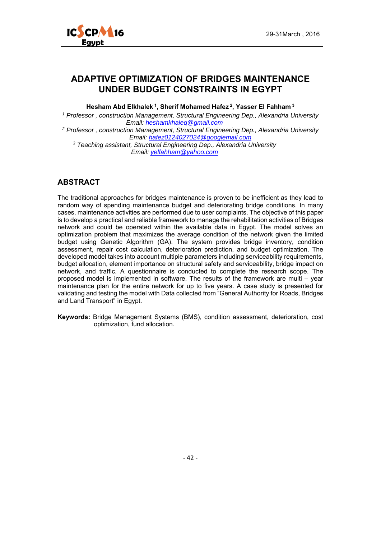



## **ADAPTIVE OPTIMIZATION OF BRIDGES MAINTENANCE UNDER BUDGET CONSTRAINTS IN EGYPT**

**Hesham Abd Elkhalek 1, Sherif Mohamed Hafez 2, Yasser El Fahham 3** 

*1 Professor , construction Management, Structural Engineering Dep., Alexandria University Email: heshamkhaleq@gmail.com*

*2 Professor , construction Management, Structural Engineering Dep., Alexandria University Email: hafez0124027024@googlemail.com*

*3 Teaching assistant, Structural Engineering Dep., Alexandria University Email: yelfahham@yahoo.com* 

#### **ABSTRACT**

The traditional approaches for bridges maintenance is proven to be inefficient as they lead to random way of spending maintenance budget and deteriorating bridge conditions. In many cases, maintenance activities are performed due to user complaints. The objective of this paper is to develop a practical and reliable framework to manage the rehabilitation activities of Bridges network and could be operated within the available data in Egypt. The model solves an optimization problem that maximizes the average condition of the network given the limited budget using Genetic Algorithm (GA). The system provides bridge inventory, condition assessment, repair cost calculation, deterioration prediction, and budget optimization. The developed model takes into account multiple parameters including serviceability requirements, budget allocation, element importance on structural safety and serviceability, bridge impact on network, and traffic. A questionnaire is conducted to complete the research scope. The proposed model is implemented in software. The results of the framework are multi – year maintenance plan for the entire network for up to five years. A case study is presented for validating and testing the model with Data collected from "General Authority for Roads, Bridges and Land Transport" in Egypt.

**Keywords:** Bridge Management Systems (BMS), condition assessment, deterioration, cost optimization, fund allocation.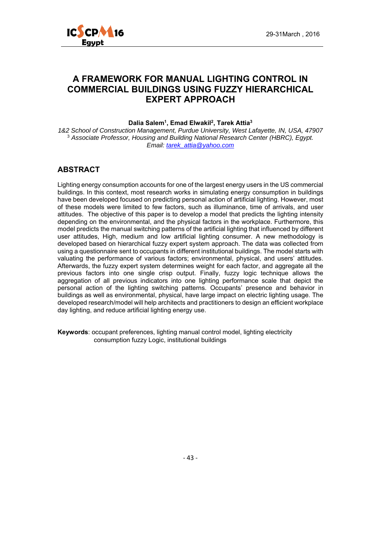

## **A FRAMEWORK FOR MANUAL LIGHTING CONTROL IN COMMERCIAL BUILDINGS USING FUZZY HIERARCHICAL EXPERT APPROACH**

**Dalia Salem1, Emad Elwakil2, Tarek Attia3** 

*1&2 School of Construction Management, Purdue University, West Lafayette, IN, USA, 47907*  <sup>3</sup> *Associate Professor, Housing and Building National Research Center (HBRC), Egypt. Email: tarek\_attia@yahoo.com*

#### **ABSTRACT**

Lighting energy consumption accounts for one of the largest energy users in the US commercial buildings. In this context, most research works in simulating energy consumption in buildings have been developed focused on predicting personal action of artificial lighting. However, most of these models were limited to few factors, such as illuminance, time of arrivals, and user attitudes. The objective of this paper is to develop a model that predicts the lighting intensity depending on the environmental, and the physical factors in the workplace. Furthermore, this model predicts the manual switching patterns of the artificial lighting that influenced by different user attitudes, High, medium and low artificial lighting consumer. A new methodology is developed based on hierarchical fuzzy expert system approach. The data was collected from using a questionnaire sent to occupants in different institutional buildings. The model starts with valuating the performance of various factors; environmental, physical, and users' attitudes. Afterwards, the fuzzy expert system determines weight for each factor, and aggregate all the previous factors into one single crisp output. Finally, fuzzy logic technique allows the aggregation of all previous indicators into one lighting performance scale that depict the personal action of the lighting switching patterns. Occupants' presence and behavior in buildings as well as environmental, physical, have large impact on electric lighting usage. The developed research/model will help architects and practitioners to design an efficient workplace day lighting, and reduce artificial lighting energy use.

**Keywords**: occupant preferences, lighting manual control model, lighting electricity consumption fuzzy Logic, institutional buildings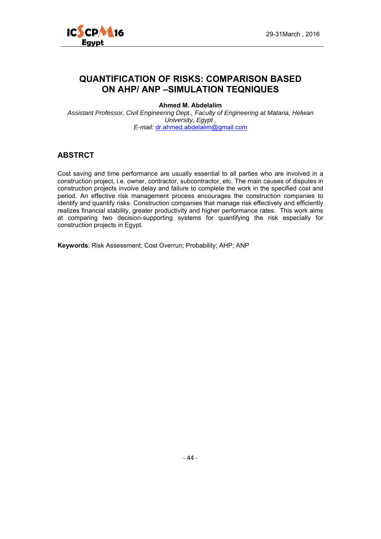

## **QUANTIFICATION OF RISKS: COMPARISON BASED ON AHP/ ANP –SIMULATION TEQNIQUES**

**Ahmed M. Abdelalim** 

*Assistant Professor, Civil Engineering Dept., Faculty of Engineering at Mataria, Helwan University*, *Egypt , E-mail:* dr.ahmed.abdelalim@gmail.com

#### **ABSTRCT**

Cost saving and time performance are usually essential to all parties who are involved in a construction project, i.e. owner, contractor, subcontractor, etc. The main causes of disputes in construction projects involve delay and failure to complete the work in the specified cost and period. An effective risk management process encourages the construction companies to identify and quantify risks. Construction companies that manage risk effectively and efficiently realizes financial stability, greater productivity and higher performance rates. This work aims at comparing two decision-supporting systems for quantifying the risk especially for construction projects in Egypt.

**Keywords**: Risk Assessment; Cost Overrun; Probability; AHP; ANP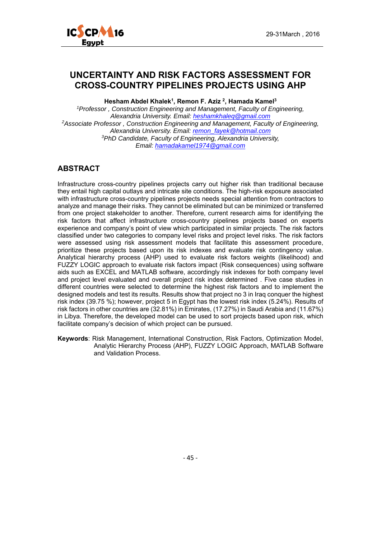

## **UNCERTAINTY AND RISK FACTORS ASSESSMENT FOR CROSS-COUNTRY PIPELINES PROJECTS USING AHP**

**Hesham Abdel Khalek1, Remon F. Aziz 2, Hamada Kamel3**

*1Professor , Construction Engineering and Management, Faculty of Engineering, Alexandria University. Email: heshamkhaleq@gmail.com 2Associate Professor , Construction Engineering and Management, Faculty of Engineering, Alexandria University. Email: remon\_fayek@hotmail.com 3PhD Candidate, Faculty of Engineering, Alexandria University, Email: hamadakamel1974@gmail.com*

#### **ABSTRACT**

Infrastructure cross-country pipelines projects carry out higher risk than traditional because they entail high capital outlays and intricate site conditions. The high-risk exposure associated with infrastructure cross-country pipelines projects needs special attention from contractors to analyze and manage their risks. They cannot be eliminated but can be minimized or transferred from one project stakeholder to another. Therefore, current research aims for identifying the risk factors that affect infrastructure cross-country pipelines projects based on experts experience and company's point of view which participated in similar projects. The risk factors classified under two categories to company level risks and project level risks. The risk factors were assessed using risk assessment models that facilitate this assessment procedure, prioritize these projects based upon its risk indexes and evaluate risk contingency value. Analytical hierarchy process (AHP) used to evaluate risk factors weights (likelihood) and FUZZY LOGIC approach to evaluate risk factors impact (Risk consequences) using software aids such as EXCEL and MATLAB software, accordingly risk indexes for both company level and project level evaluated and overall project risk index determined . Five case studies in different countries were selected to determine the highest risk factors and to implement the designed models and test its results. Results show that project no 3 in Iraq conquer the highest risk index (39.75 %); however, project 5 in Egypt has the lowest risk index (5.24%). Results of risk factors in other countries are (32.81%) in Emirates, (17.27%) in Saudi Arabia and (11.67%) in Libya. Therefore, the developed model can be used to sort projects based upon risk, which facilitate company's decision of which project can be pursued.

**Keywords**: Risk Management, International Construction, Risk Factors, Optimization Model, Analytic Hierarchy Process (AHP), FUZZY LOGIC Approach, MATLAB Software and Validation Process.

‐ 45 ‐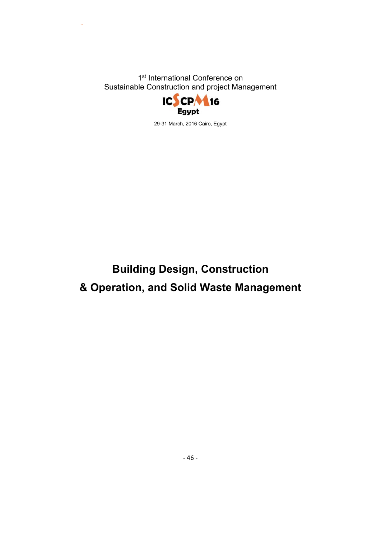

29-31 March, 2016 Cairo, Egypt

# **Building Design, Construction & Operation, and Solid Waste Management**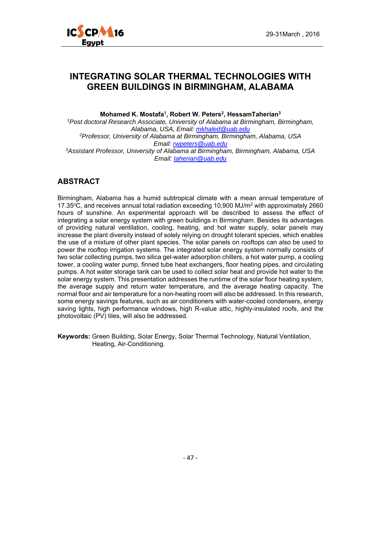

#### **INTEGRATING SOLAR THERMAL TECHNOLOGIES WITH GREEN BUILDINGS IN BIRMINGHAM, ALABAMA**

Mohamed K. Mostafa<sup>1</sup>, Robert W. Peters<sup>2</sup>, HessamTaherian<sup>3</sup>

*1Post doctoral Research Associate, University of Alabama at Birmingham, Birmingham, Alabama, USA, Email: mkhaled@uab.edu 2Professor, University of Alabama at Birmingham, Birmingham, Alabama, USA Email: rwpeters@uab.edu 3Assistant Professor, University of Alabama at Birmingham, Birmingham, Alabama, USA Email: taherian@uab.edu*

#### **ABSTRACT**

Birmingham, Alabama has a humid subtropical climate with a mean annual temperature of 17.35°C, and receives annual total radiation exceeding 10,900 MJ/m<sup>2</sup> with approximately 2660 hours of sunshine. An experimental approach will be described to assess the effect of integrating a solar energy system with green buildings in Birmingham. Besides its advantages of providing natural ventilation, cooling, heating, and hot water supply, solar panels may increase the plant diversity instead of solely relying on drought tolerant species, which enables the use of a mixture of other plant species. The solar panels on rooftops can also be used to power the rooftop irrigation systems. The integrated solar energy system normally consists of two solar collecting pumps, two silica gel-water adsorption chillers, a hot water pump, a cooling tower, a cooling water pump, finned tube heat exchangers, floor heating pipes, and circulating pumps. A hot water storage tank can be used to collect solar heat and provide hot water to the solar energy system. This presentation addresses the runtime of the solar floor heating system, the average supply and return water temperature, and the average heating capacity. The normal floor and air temperature for a non-heating room will also be addressed. In this research, some energy savings features, such as air conditioners with water-cooled condensers, energy saving lights, high performance windows, high R-value attic, highly-insulated roofs, and the photovoltaic (PV) tiles, will also be addressed.

**Keywords:** Green Building, Solar Energy, Solar Thermal Technology, Natural Ventilation, Heating, Air-Conditioning.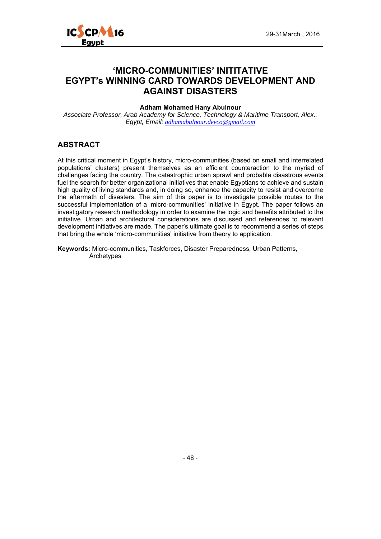

## **'MICRO-COMMUNITIES' INITITATIVE EGYPT's WINNING CARD TOWARDS DEVELOPMENT AND AGAINST DISASTERS**

#### **Adham Mohamed Hany Abulnour**

*Associate Professor, Arab Academy for Science, Technology & Maritime Transport, Alex., Egypt, Email: adhamabulnour.devco@gmail.com*

#### **ABSTRACT**

At this critical moment in Egypt's history, micro-communities (based on small and interrelated populations' clusters) present themselves as an efficient counteraction to the myriad of challenges facing the country. The catastrophic urban sprawl and probable disastrous events fuel the search for better organizational initiatives that enable Egyptians to achieve and sustain high quality of living standards and, in doing so, enhance the capacity to resist and overcome the aftermath of disasters. The aim of this paper is to investigate possible routes to the successful implementation of a 'micro-communities' initiative in Egypt. The paper follows an investigatory research methodology in order to examine the logic and benefits attributed to the initiative. Urban and architectural considerations are discussed and references to relevant development initiatives are made. The paper's ultimate goal is to recommend a series of steps that bring the whole 'micro-communities' initiative from theory to application.

**Keywords:** Micro-communities, Taskforces, Disaster Preparedness, Urban Patterns, Archetypes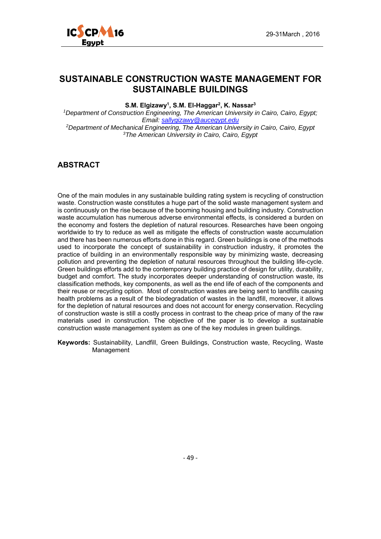

## **SUSTAINABLE CONSTRUCTION WASTE MANAGEMENT FOR SUSTAINABLE BUILDINGS**

**S.M. Elgizawy1, S.M. El-Haggar2, K. Nassar3** 

*1Department of Construction Engineering, The American University in Cairo, Cairo, Egypt; Email: sallygizawy@aucegypt.edu 2Department of Mechanical Engineering, The American University in Cairo, Cairo, Egypt 3The American University in Cairo, Cairo, Egypt* 

#### **ABSTRACT**

One of the main modules in any sustainable building rating system is recycling of construction waste. Construction waste constitutes a huge part of the solid waste management system and is continuously on the rise because of the booming housing and building industry. Construction waste accumulation has numerous adverse environmental effects, is considered a burden on the economy and fosters the depletion of natural resources. Researches have been ongoing worldwide to try to reduce as well as mitigate the effects of construction waste accumulation and there has been numerous efforts done in this regard. Green buildings is one of the methods used to incorporate the concept of sustainability in construction industry, it promotes the practice of building in an environmentally responsible way by minimizing waste, decreasing pollution and preventing the depletion of natural resources throughout the building life-cycle. Green buildings efforts add to the contemporary building practice of design for utility, durability, budget and comfort. The study incorporates deeper understanding of construction waste, its classification methods, key components, as well as the end life of each of the components and their reuse or recycling option. Most of construction wastes are being sent to landfills causing health problems as a result of the biodegradation of wastes in the landfill, moreover, it allows for the depletion of natural resources and does not account for energy conservation. Recycling of construction waste is still a costly process in contrast to the cheap price of many of the raw materials used in construction. The objective of the paper is to develop a sustainable construction waste management system as one of the key modules in green buildings.

**Keywords:** Sustainability, Landfill, Green Buildings, Construction waste, Recycling, Waste Management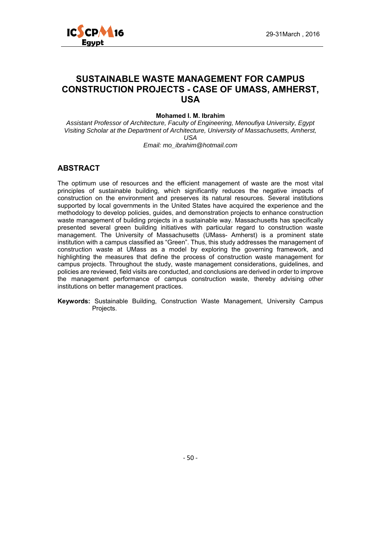

## **SUSTAINABLE WASTE MANAGEMENT FOR CAMPUS CONSTRUCTION PROJECTS - CASE OF UMASS, AMHERST, USA**

#### **Mohamed I. M. Ibrahim**

*Assistant Professor of Architecture, Faculty of Engineering, Menoufiya University, Egypt Visiting Scholar at the Department of Architecture, University of Massachusetts, Amherst, USA Email: mo\_ibrahim@hotmail.com* 

#### **ABSTRACT**

The optimum use of resources and the efficient management of waste are the most vital principles of sustainable building, which significantly reduces the negative impacts of construction on the environment and preserves its natural resources. Several institutions supported by local governments in the United States have acquired the experience and the methodology to develop policies, guides, and demonstration projects to enhance construction waste management of building projects in a sustainable way. Massachusetts has specifically presented several green building initiatives with particular regard to construction waste management. The University of Massachusetts (UMass- Amherst) is a prominent state institution with a campus classified as "Green". Thus, this study addresses the management of construction waste at UMass as a model by exploring the governing framework, and highlighting the measures that define the process of construction waste management for campus projects. Throughout the study, waste management considerations, guidelines, and policies are reviewed, field visits are conducted, and conclusions are derived in order to improve the management performance of campus construction waste, thereby advising other institutions on better management practices.

**Keywords:** Sustainable Building, Construction Waste Management, University Campus Projects.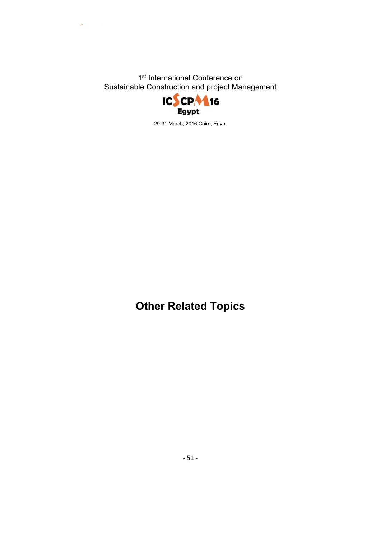

29-31 March, 2016 Cairo, Egypt

**Other Related Topics**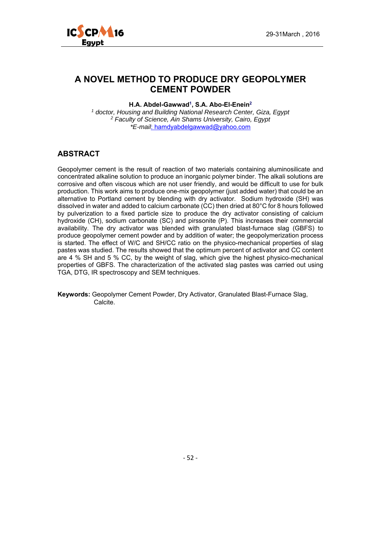

## **A NOVEL METHOD TO PRODUCE DRY GEOPOLYMER CEMENT POWDER**

**H.A. Abdel-Gawwad1, S.A. Abo-El-Enein2**

*1 doctor, Housing and Building National Research Center, Giza, Egypt 2 Faculty of Science, Ain Shams University, Cairo, Egypt \*E-mail*: hamdyabdelgawwad@yahoo.com

#### **ABSTRACT**

Geopolymer cement is the result of reaction of two materials containing aluminosilicate and concentrated alkaline solution to produce an inorganic polymer binder. The alkali solutions are corrosive and often viscous which are not user friendly, and would be difficult to use for bulk production. This work aims to produce one-mix geopolymer (just added water) that could be an alternative to Portland cement by blending with dry activator. Sodium hydroxide (SH) was dissolved in water and added to calcium carbonate (CC) then dried at 80°C for 8 hours followed by pulverization to a fixed particle size to produce the dry activator consisting of calcium hydroxide (CH), sodium carbonate (SC) and pirssonite (P). This increases their commercial availability. The dry activator was blended with granulated blast-furnace slag (GBFS) to produce geopolymer cement powder and by addition of water; the geopolymerization process is started. The effect of W/C and SH/CC ratio on the physico-mechanical properties of slag pastes was studied. The results showed that the optimum percent of activator and CC content are 4 % SH and 5 % CC, by the weight of slag, which give the highest physico-mechanical properties of GBFS. The characterization of the activated slag pastes was carried out using TGA, DTG, IR spectroscopy and SEM techniques.

**Keywords:** Geopolymer Cement Powder, Dry Activator, Granulated Blast-Furnace Slag, Calcite.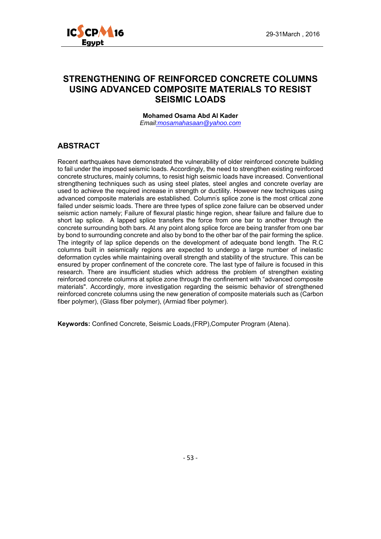

## **STRENGTHENING OF REINFORCED CONCRETE COLUMNS USING ADVANCED COMPOSITE MATERIALS TO RESIST SEISMIC LOADS**

**Mohamed Osama Abd Al Kader**  *Email:mosamahasaan@yahoo.com* 

#### **ABSTRACT**

Recent earthquakes have demonstrated the vulnerability of older reinforced concrete building to fail under the imposed seismic loads. Accordingly, the need to strengthen existing reinforced concrete structures, mainly columns, to resist high seismic loads have increased. Conventional strengthening techniques such as using steel plates, steel angles and concrete overlay are used to achieve the required increase in strength or ductility. However new techniques using advanced composite materials are established. Column' s splice zone is the most critical zone failed under seismic loads. There are three types of splice zone failure can be observed under seismic action namely; Failure of flexural plastic hinge region, shear failure and failure due to short lap splice. A lapped splice transfers the force from one bar to another through the concrete surrounding both bars. At any point along splice force are being transfer from one bar by bond to surrounding concrete and also by bond to the other bar of the pair forming the splice. The integrity of lap splice depends on the development of adequate bond length. The R.C columns built in seismically regions are expected to undergo a large number of inelastic deformation cycles while maintaining overall strength and stability of the structure. This can be ensured by proper confinement of the concrete core. The last type of failure is focused in this research. There are insufficient studies which address the problem of strengthen existing reinforced concrete columns at splice zone through the confinement with "advanced composite materials". Accordingly, more investigation regarding the seismic behavior of strengthened reinforced concrete columns using the new generation of composite materials such as (Carbon fiber polymer), (Glass fiber polymer), (Armiad fiber polymer).

**Keywords:** Confined Concrete, Seismic Loads,(FRP),Computer Program (Atena).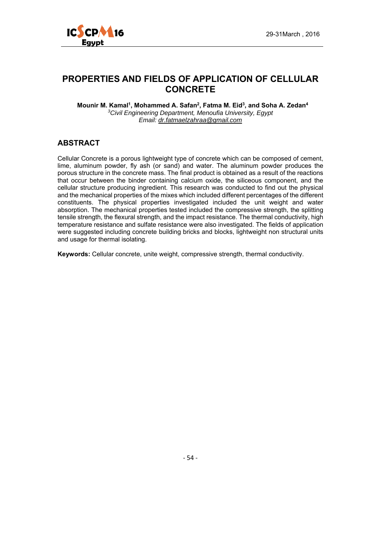

## **PROPERTIES AND FIELDS OF APPLICATION OF CELLULAR CONCRETE**

Mounir M. Kamal<sup>1</sup>, Mohammed A. Safan<sup>2</sup>, Fatma M. Eid<sup>3</sup>, and Soha A. Zedan<sup>4</sup> *3Civil Engineering Department, Menoufia University, Egypt Email: dr.fatmaelzahraa@gmail.com*

#### **ABSTRACT**

Cellular Concrete is a porous lightweight type of concrete which can be composed of cement, lime, aluminum powder, fly ash (or sand) and water. The aluminum powder produces the porous structure in the concrete mass. The final product is obtained as a result of the reactions that occur between the binder containing calcium oxide, the siliceous component, and the cellular structure producing ingredient. This research was conducted to find out the physical and the mechanical properties of the mixes which included different percentages of the different constituents. The physical properties investigated included the unit weight and water absorption. The mechanical properties tested included the compressive strength, the splitting tensile strength, the flexural strength, and the impact resistance. The thermal conductivity, high temperature resistance and sulfate resistance were also investigated. The fields of application were suggested including concrete building bricks and blocks, lightweight non structural units and usage for thermal isolating.

**Keywords:** Cellular concrete, unite weight, compressive strength, thermal conductivity.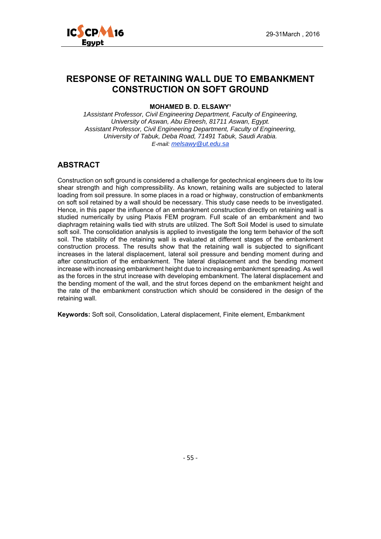

## **RESPONSE OF RETAINING WALL DUE TO EMBANKMENT CONSTRUCTION ON SOFT GROUND**

#### **MOHAMED B. D. ELSAWY<sup>1</sup>**

*1Assistant Professor, Civil Engineering Department, Faculty of Engineering, University of Aswan, Abu Elreesh, 81711 Aswan, Egypt. Assistant Professor, Civil Engineering Department, Faculty of Engineering, University of Tabuk, Deba Road, 71491 Tabuk, Saudi Arabia. E-mail: melsawy@ut.edu.sa*

#### **ABSTRACT**

Construction on soft ground is considered a challenge for geotechnical engineers due to its low shear strength and high compressibility. As known, retaining walls are subjected to lateral loading from soil pressure. In some places in a road or highway, construction of embankments on soft soil retained by a wall should be necessary. This study case needs to be investigated. Hence, in this paper the influence of an embankment construction directly on retaining wall is studied numerically by using Plaxis FEM program. Full scale of an embankment and two diaphragm retaining walls tied with struts are utilized. The Soft Soil Model is used to simulate soft soil. The consolidation analysis is applied to investigate the long term behavior of the soft soil. The stability of the retaining wall is evaluated at different stages of the embankment construction process. The results show that the retaining wall is subjected to significant increases in the lateral displacement, lateral soil pressure and bending moment during and after construction of the embankment. The lateral displacement and the bending moment increase with increasing embankment height due to increasing embankment spreading. As well as the forces in the strut increase with developing embankment. The lateral displacement and the bending moment of the wall, and the strut forces depend on the embankment height and the rate of the embankment construction which should be considered in the design of the retaining wall.

**Keywords:** Soft soil, Consolidation, Lateral displacement, Finite element, Embankment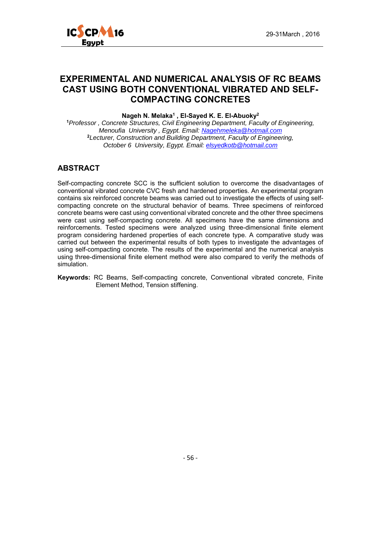

## **EXPERIMENTAL AND NUMERICAL ANALYSIS OF RC BEAMS CAST USING BOTH CONVENTIONAL VIBRATED AND SELF-COMPACTING CONCRETES**

**Nageh N. Melaka1 , El-Sayed K. E. El-Abuoky2**

**<sup>1</sup>***Professor , Concrete Structures, Civil Engineering Department, Faculty of Engineering, Menoufia University , Egypt. Email: Nagehmeleka@hotmail.com* **<sup>2</sup>***Lecturer, Construction and Building Department, Faculty of Engineering, October 6 University, Egypt. Email: elsyedkotb@hotmail.com*

#### **ABSTRACT**

Self-compacting concrete SCC is the sufficient solution to overcome the disadvantages of conventional vibrated concrete CVC fresh and hardened properties. An experimental program contains six reinforced concrete beams was carried out to investigate the effects of using selfcompacting concrete on the structural behavior of beams. Three specimens of reinforced concrete beams were cast using conventional vibrated concrete and the other three specimens were cast using self-compacting concrete. All specimens have the same dimensions and reinforcements. Tested specimens were analyzed using three-dimensional finite element program considering hardened properties of each concrete type. A comparative study was carried out between the experimental results of both types to investigate the advantages of using self-compacting concrete. The results of the experimental and the numerical analysis using three-dimensional finite element method were also compared to verify the methods of simulation.

**Keywords:** RC Beams, Self-compacting concrete, Conventional vibrated concrete, Finite Element Method, Tension stiffening.